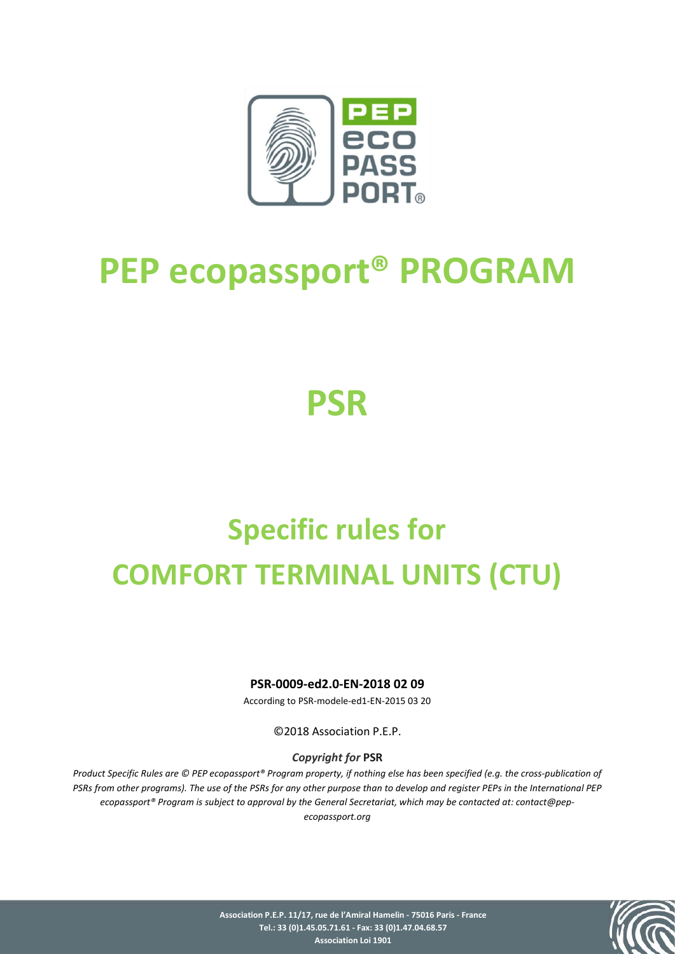

# **PEP ecopassport® PROGRAM**

# **PSR**

# **Specific rules for COMFORT TERMINAL UNITS (CTU)**

## **PSR-0009-ed2.0-EN-2018 02 09**

According to PSR-modele-ed1-EN-2015 03 20

©2018 Association P.E.P.

## *Copyright for* **PSR**

*Product Specific Rules are © PEP ecopassport® Program property, if nothing else has been specified (e.g. the cross-publication of PSRs from other programs). The use of the PSRs for any other purpose than to develop and register PEPs in the International PEP ecopassport® Program is subject to approval by the General Secretariat, which may be contacted at: contact@pep-*

*ecopassport.org*

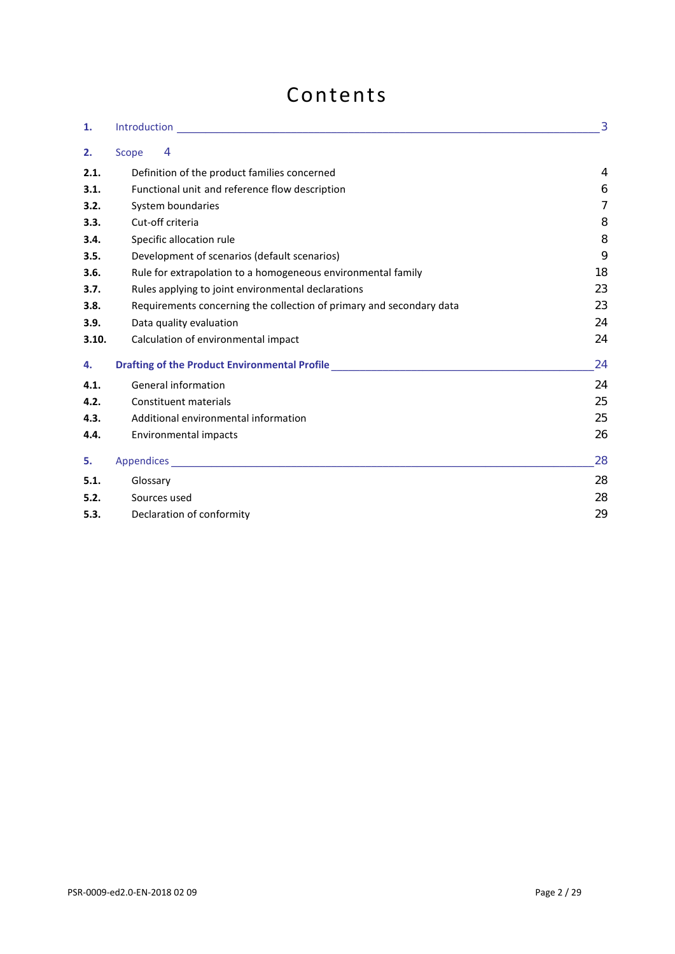# Contents

| 1.    |                                                                                  | 3  |
|-------|----------------------------------------------------------------------------------|----|
| 2.    | $\overline{4}$<br>Scope                                                          |    |
| 2.1.  | Definition of the product families concerned                                     | 4  |
| 3.1.  | Functional unit and reference flow description                                   | 6  |
| 3.2.  | System boundaries                                                                | 7  |
| 3.3.  | Cut-off criteria                                                                 | 8  |
| 3.4.  | Specific allocation rule                                                         | 8  |
| 3.5.  | Development of scenarios (default scenarios)                                     | 9  |
| 3.6.  | Rule for extrapolation to a homogeneous environmental family                     | 18 |
| 3.7.  | Rules applying to joint environmental declarations                               | 23 |
| 3.8.  | Requirements concerning the collection of primary and secondary data             | 23 |
| 3.9.  | Data quality evaluation                                                          | 24 |
| 3.10. | Calculation of environmental impact                                              | 24 |
| 4.    | Drafting of the Product Environmental Profile __________________________________ | 24 |
| 4.1.  | General information                                                              | 24 |
| 4.2.  | Constituent materials                                                            | 25 |
| 4.3.  | Additional environmental information                                             | 25 |
| 4.4.  | Environmental impacts                                                            | 26 |
| 5.    |                                                                                  | 28 |
| 5.1.  | Glossary                                                                         | 28 |
| 5.2.  | Sources used                                                                     | 28 |
| 5.3.  | Declaration of conformity                                                        | 29 |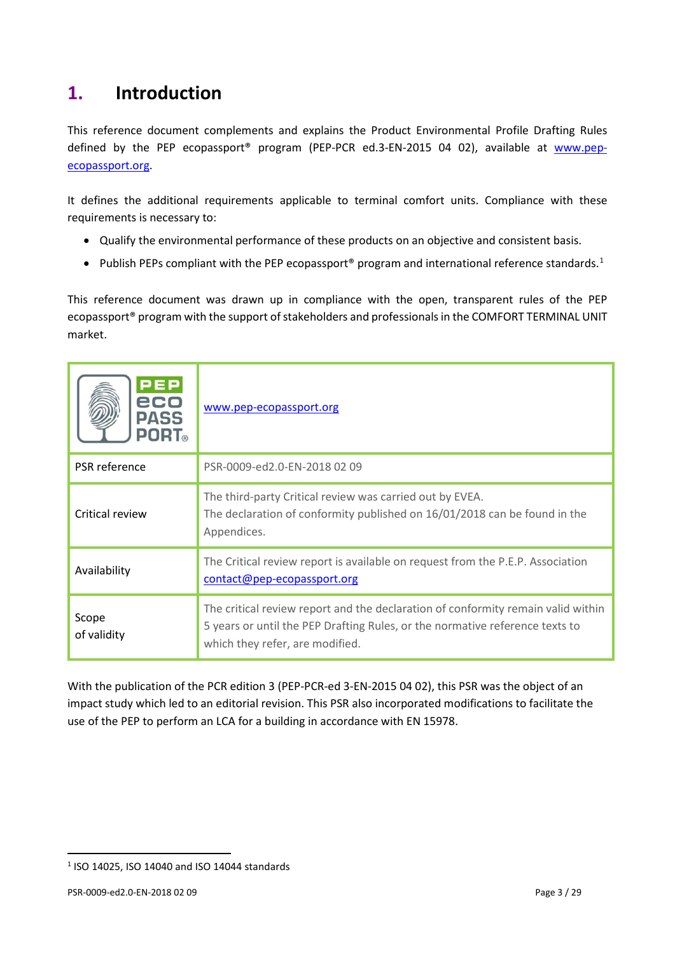# <span id="page-2-0"></span>**1. Introduction**

This reference document complements and explains the Product Environmental Profile Drafting Rules defined by the PEP ecopassport<sup>®</sup> program (PEP-PCR ed.3-EN-2015 04 02), available at [www.pep](http://www.pep-ecopassport.org/)[ecopassport.org.](http://www.pep-ecopassport.org/)

It defines the additional requirements applicable to terminal comfort units. Compliance with these requirements is necessary to:

- Qualify the environmental performance of these products on an objective and consistent basis.
- Publish PEPs compliant with the PEP ecopassport® program and international reference standards.<sup>[1](#page-2-1)</sup>

This reference document was drawn up in compliance with the open, transparent rules of the PEP ecopassport® program with the support of stakeholders and professionals in the COMFORT TERMINAL UNIT market.

| PEP<br>eco<br><b>PASS</b><br><b>PORT</b> ® | www.pep-ecopassport.org                                                                                                                                                                             |
|--------------------------------------------|-----------------------------------------------------------------------------------------------------------------------------------------------------------------------------------------------------|
| PSR reference                              | PSR-0009-ed2.0-EN-2018 02 09                                                                                                                                                                        |
| Critical review                            | The third-party Critical review was carried out by EVEA.<br>The declaration of conformity published on 16/01/2018 can be found in the<br>Appendices.                                                |
| Availability                               | The Critical review report is available on request from the P.E.P. Association<br>contact@pep-ecopassport.org                                                                                       |
| Scope<br>of validity                       | The critical review report and the declaration of conformity remain valid within<br>5 years or until the PEP Drafting Rules, or the normative reference texts to<br>which they refer, are modified. |

With the publication of the PCR edition 3 (PEP-PCR-ed 3-EN-2015 04 02), this PSR was the object of an impact study which led to an editorial revision. This PSR also incorporated modifications to facilitate the use of the PEP to perform an LCA for a building in accordance with EN 15978.

 $\overline{a}$ 

<span id="page-2-1"></span><sup>1</sup> ISO 14025, ISO 14040 and ISO 14044 standards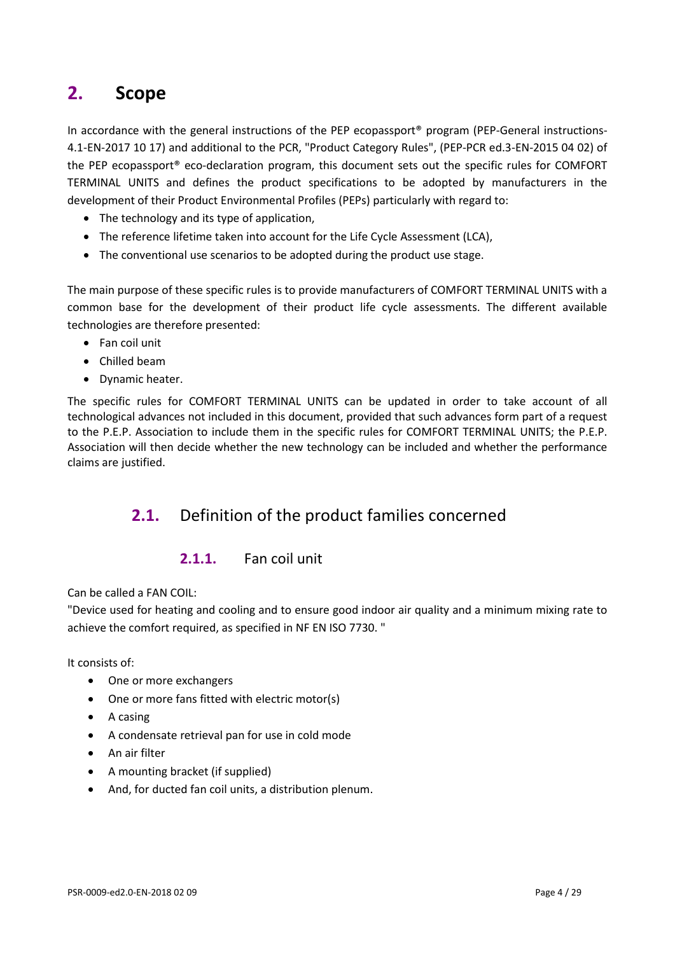# <span id="page-3-0"></span>**2. Scope**

In accordance with the general instructions of the PEP ecopassport<sup>®</sup> program (PEP-General instructions-4.1-EN-2017 10 17) and additional to the PCR, "Product Category Rules", (PEP-PCR ed.3-EN-2015 04 02) of the PEP ecopassport® eco-declaration program, this document sets out the specific rules for COMFORT TERMINAL UNITS and defines the product specifications to be adopted by manufacturers in the development of their Product Environmental Profiles (PEPs) particularly with regard to:

- The technology and its type of application,
- The reference lifetime taken into account for the Life Cycle Assessment (LCA),
- The conventional use scenarios to be adopted during the product use stage.

The main purpose of these specific rules is to provide manufacturers of COMFORT TERMINAL UNITS with a common base for the development of their product life cycle assessments. The different available technologies are therefore presented:

- Fan coil unit
- Chilled beam
- Dynamic heater.

The specific rules for COMFORT TERMINAL UNITS can be updated in order to take account of all technological advances not included in this document, provided that such advances form part of a request to the P.E.P. Association to include them in the specific rules for COMFORT TERMINAL UNITS; the P.E.P. Association will then decide whether the new technology can be included and whether the performance claims are justified.

# <span id="page-3-1"></span>**2.1.** Definition of the product families concerned

## **2.1.1.** Fan coil unit

Can be called a FAN COIL:

"Device used for heating and cooling and to ensure good indoor air quality and a minimum mixing rate to achieve the comfort required, as specified in NF EN ISO 7730. "

It consists of:

- One or more exchangers
- One or more fans fitted with electric motor(s)
- A casing
- A condensate retrieval pan for use in cold mode
- An air filter
- A mounting bracket (if supplied)
- And, for ducted fan coil units, a distribution plenum.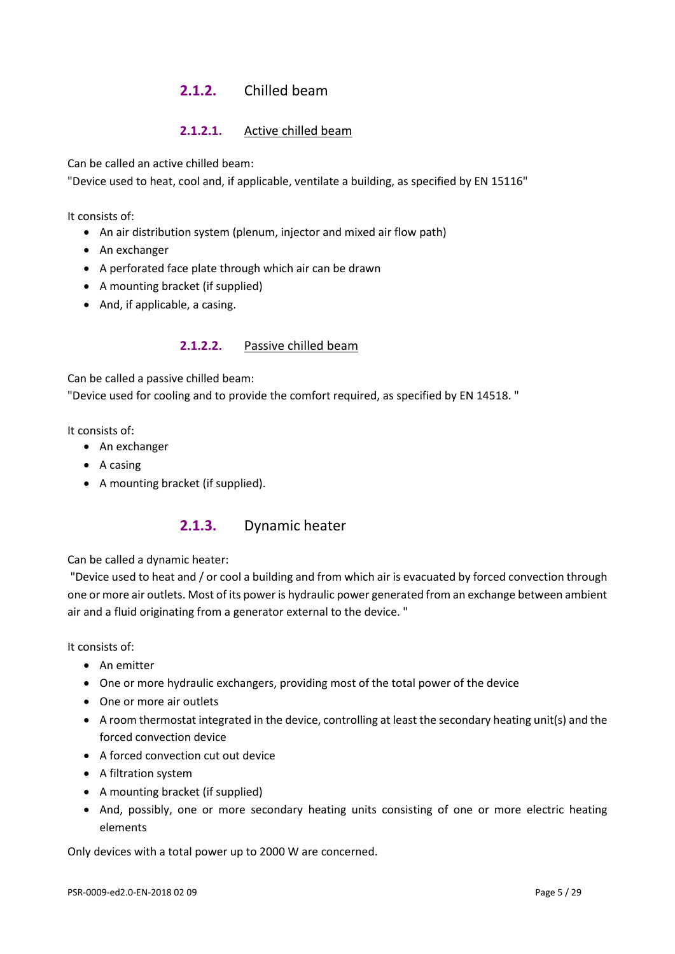## **2.1.2.** Chilled beam

## **2.1.2.1.** Active chilled beam

Can be called an active chilled beam:

"Device used to heat, cool and, if applicable, ventilate a building, as specified by EN 15116"

It consists of:

- An air distribution system (plenum, injector and mixed air flow path)
- An exchanger
- A perforated face plate through which air can be drawn
- A mounting bracket (if supplied)
- And, if applicable, a casing.

#### **2.1.2.2.** Passive chilled beam

Can be called a passive chilled beam:

"Device used for cooling and to provide the comfort required, as specified by EN 14518. "

It consists of:

- An exchanger
- A casing
- A mounting bracket (if supplied).

## **2.1.3.** Dynamic heater

Can be called a dynamic heater:

"Device used to heat and / or cool a building and from which air is evacuated by forced convection through one or more air outlets. Most of its power is hydraulic power generated from an exchange between ambient air and a fluid originating from a generator external to the device. "

It consists of:

- An emitter
- One or more hydraulic exchangers, providing most of the total power of the device
- One or more air outlets
- A room thermostat integrated in the device, controlling at least the secondary heating unit(s) and the forced convection device
- A forced convection cut out device
- A filtration system
- A mounting bracket (if supplied)
- And, possibly, one or more secondary heating units consisting of one or more electric heating elements

Only devices with a total power up to 2000 W are concerned.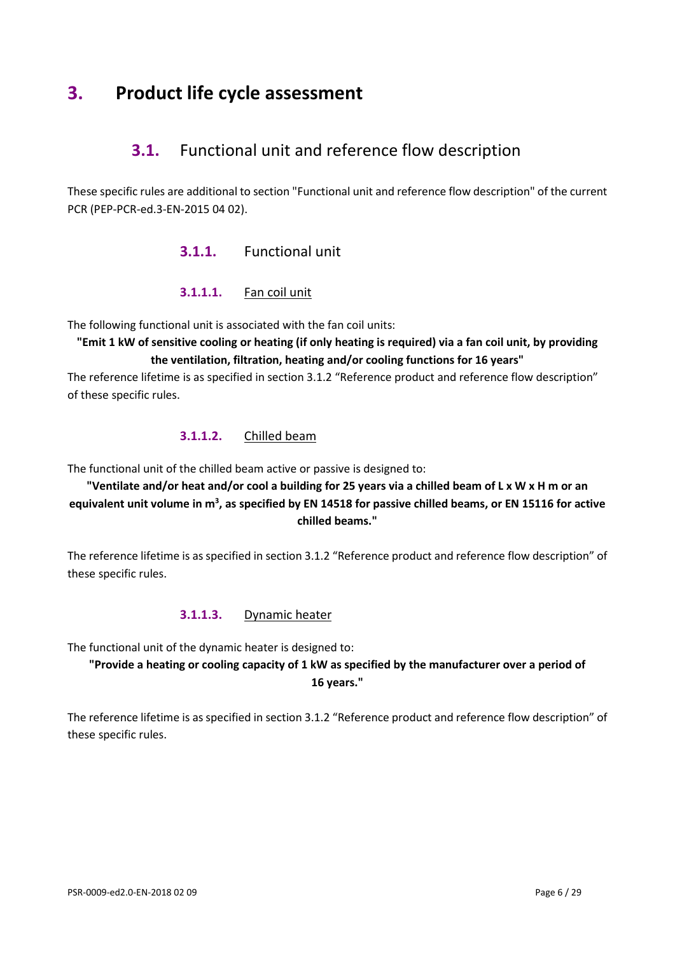# <span id="page-5-0"></span>**3. Product life cycle assessment**

# **3.1.** Functional unit and reference flow description

These specific rules are additional to section "Functional unit and reference flow description" of the current PCR (PEP-PCR-ed.3-EN-2015 04 02).

## **3.1.1.** Functional unit

#### **3.1.1.1.** Fan coil unit

The following functional unit is associated with the fan coil units:

**"Emit 1 kW of sensitive cooling or heating (if only heating is required) via a fan coil unit, by providing the ventilation, filtration, heating and/or cooling functions for 16 years"**

The reference lifetime is as specified in section 3.1.2 "Reference product and reference flow description" of these specific rules.

#### **3.1.1.2.** Chilled beam

The functional unit of the chilled beam active or passive is designed to:

## **"Ventilate and/or heat and/or cool a building for 25 years via a chilled beam of L x W x H m or an**  equivalent unit volume in m<sup>3</sup>, as specified by EN 14518 for passive chilled beams, or EN 15116 for active **chilled beams."**

The reference lifetime is as specified in section 3.1.2 "Reference product and reference flow description" of these specific rules.

#### **3.1.1.3.** Dynamic heater

The functional unit of the dynamic heater is designed to:

## **"Provide a heating or cooling capacity of 1 kW as specified by the manufacturer over a period of 16 years."**

The reference lifetime is as specified in section 3.1.2 "Reference product and reference flow description" of these specific rules.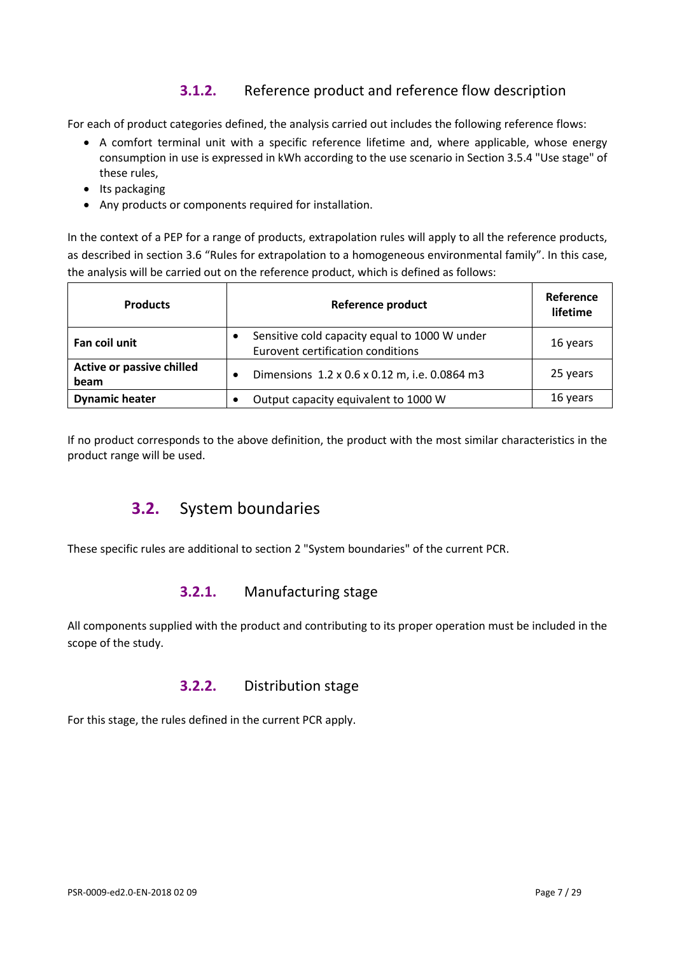# **3.1.2.** Reference product and reference flow description

For each of product categories defined, the analysis carried out includes the following reference flows:

- A comfort terminal unit with a specific reference lifetime and, where applicable, whose energy consumption in use is expressed in kWh according to the use scenario in Section 3.5.4 "Use stage" of these rules,
- Its packaging
- Any products or components required for installation.

In the context of a PEP for a range of products, extrapolation rules will apply to all the reference products, as described in section 3.6 "Rules for extrapolation to a homogeneous environmental family". In this case, the analysis will be carried out on the reference product, which is defined as follows:

| <b>Products</b>                   | <b>Reference product</b>                                                           | Reference<br>lifetime |
|-----------------------------------|------------------------------------------------------------------------------------|-----------------------|
| Fan coil unit                     | Sensitive cold capacity equal to 1000 W under<br>Eurovent certification conditions | 16 years              |
| Active or passive chilled<br>beam | Dimensions 1.2 x 0.6 x 0.12 m, i.e. 0.0864 m3<br>$\bullet$                         | 25 years              |
| <b>Dynamic heater</b>             | Output capacity equivalent to 1000 W                                               | 16 years              |

<span id="page-6-0"></span>If no product corresponds to the above definition, the product with the most similar characteristics in the product range will be used.

# **3.2.** System boundaries

These specific rules are additional to section 2 "System boundaries" of the current PCR.

## **3.2.1.** Manufacturing stage

All components supplied with the product and contributing to its proper operation must be included in the scope of the study.

## **3.2.2.** Distribution stage

For this stage, the rules defined in the current PCR apply.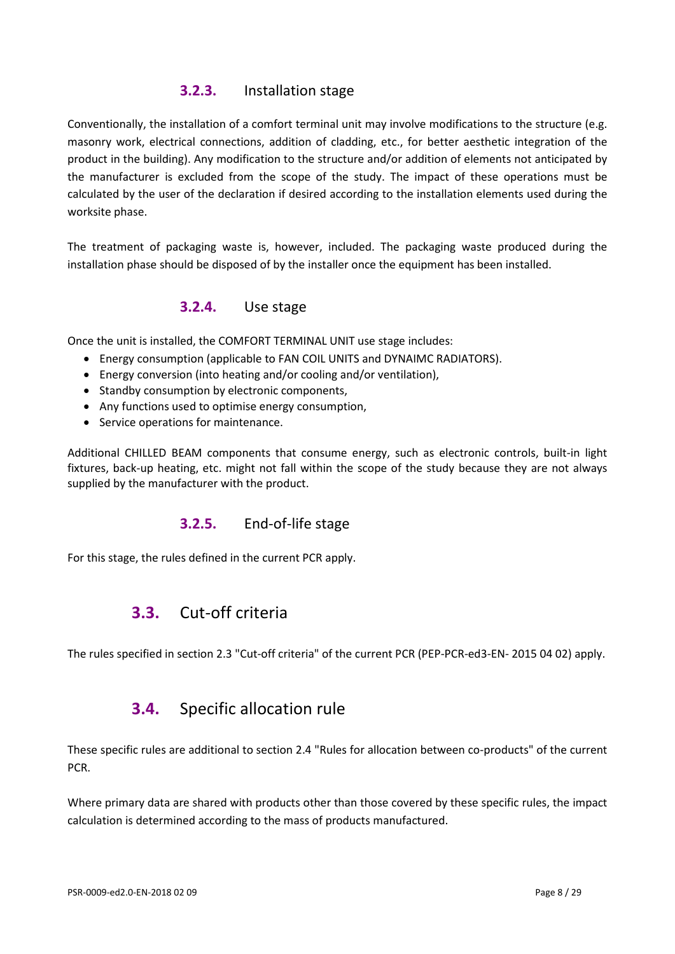## **3.2.3.** Installation stage

Conventionally, the installation of a comfort terminal unit may involve modifications to the structure (e.g. masonry work, electrical connections, addition of cladding, etc., for better aesthetic integration of the product in the building). Any modification to the structure and/or addition of elements not anticipated by the manufacturer is excluded from the scope of the study. The impact of these operations must be calculated by the user of the declaration if desired according to the installation elements used during the worksite phase.

The treatment of packaging waste is, however, included. The packaging waste produced during the installation phase should be disposed of by the installer once the equipment has been installed.

## **3.2.4.** Use stage

Once the unit is installed, the COMFORT TERMINAL UNIT use stage includes:

- Energy consumption (applicable to FAN COIL UNITS and DYNAIMC RADIATORS).
- Energy conversion (into heating and/or cooling and/or ventilation),
- Standby consumption by electronic components,
- Any functions used to optimise energy consumption,
- Service operations for maintenance.

Additional CHILLED BEAM components that consume energy, such as electronic controls, built-in light fixtures, back-up heating, etc. might not fall within the scope of the study because they are not always supplied by the manufacturer with the product.

## **3.2.5.** End-of-life stage

<span id="page-7-0"></span>For this stage, the rules defined in the current PCR apply.

# **3.3.** Cut-off criteria

<span id="page-7-1"></span>The rules specified in section 2.3 "Cut-off criteria" of the current PCR (PEP-PCR-ed3-EN- 2015 04 02) apply.

# **3.4.** Specific allocation rule

These specific rules are additional to section 2.4 "Rules for allocation between co-products" of the current **PCR** 

Where primary data are shared with products other than those covered by these specific rules, the impact calculation is determined according to the mass of products manufactured.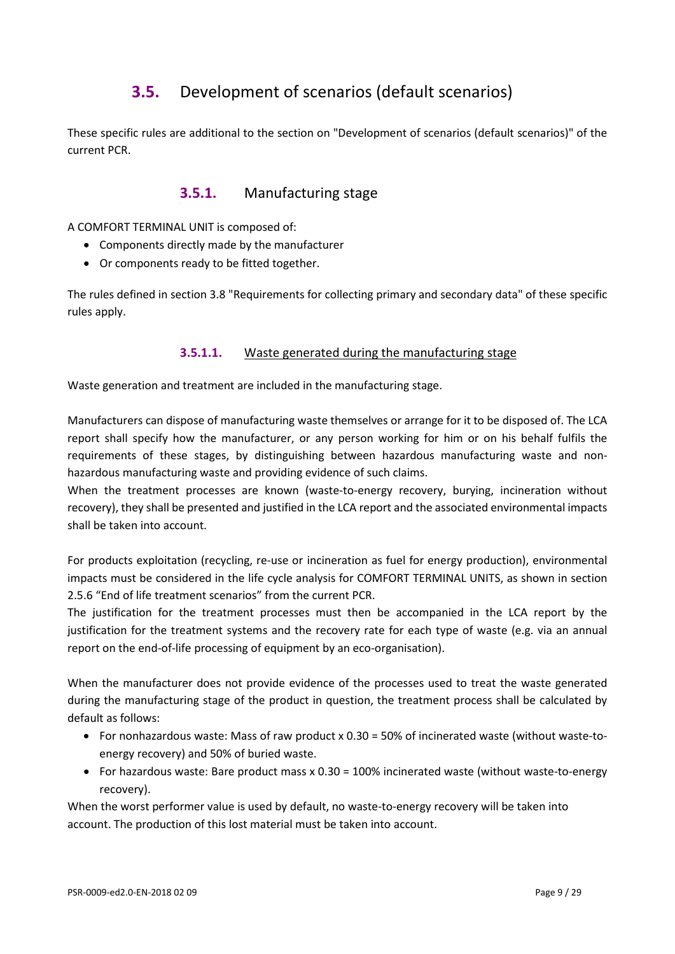# **3.5.** Development of scenarios (default scenarios)

<span id="page-8-0"></span>These specific rules are additional to the section on "Development of scenarios (default scenarios)" of the current PCR.

## **3.5.1.** Manufacturing stage

A COMFORT TERMINAL UNIT is composed of:

- Components directly made by the manufacturer
- Or components ready to be fitted together.

The rules defined in section 3.8 "Requirements for collecting primary and secondary data" of these specific rules apply.

#### **3.5.1.1.** Waste generated during the manufacturing stage

Waste generation and treatment are included in the manufacturing stage.

Manufacturers can dispose of manufacturing waste themselves or arrange for it to be disposed of. The LCA report shall specify how the manufacturer, or any person working for him or on his behalf fulfils the requirements of these stages, by distinguishing between hazardous manufacturing waste and nonhazardous manufacturing waste and providing evidence of such claims.

When the treatment processes are known (waste-to-energy recovery, burying, incineration without recovery), they shall be presented and justified in the LCA report and the associated environmental impacts shall be taken into account.

For products exploitation (recycling, re-use or incineration as fuel for energy production), environmental impacts must be considered in the life cycle analysis for COMFORT TERMINAL UNITS, as shown in section 2.5.6 "End of life treatment scenarios" from the current PCR.

The justification for the treatment processes must then be accompanied in the LCA report by the justification for the treatment systems and the recovery rate for each type of waste (e.g. via an annual report on the end-of-life processing of equipment by an eco-organisation).

When the manufacturer does not provide evidence of the processes used to treat the waste generated during the manufacturing stage of the product in question, the treatment process shall be calculated by default as follows:

- For nonhazardous waste: Mass of raw product x 0.30 = 50% of incinerated waste (without waste-toenergy recovery) and 50% of buried waste.
- For hazardous waste: Bare product mass x 0.30 = 100% incinerated waste (without waste-to-energy recovery).

When the worst performer value is used by default, no waste-to-energy recovery will be taken into account. The production of this lost material must be taken into account.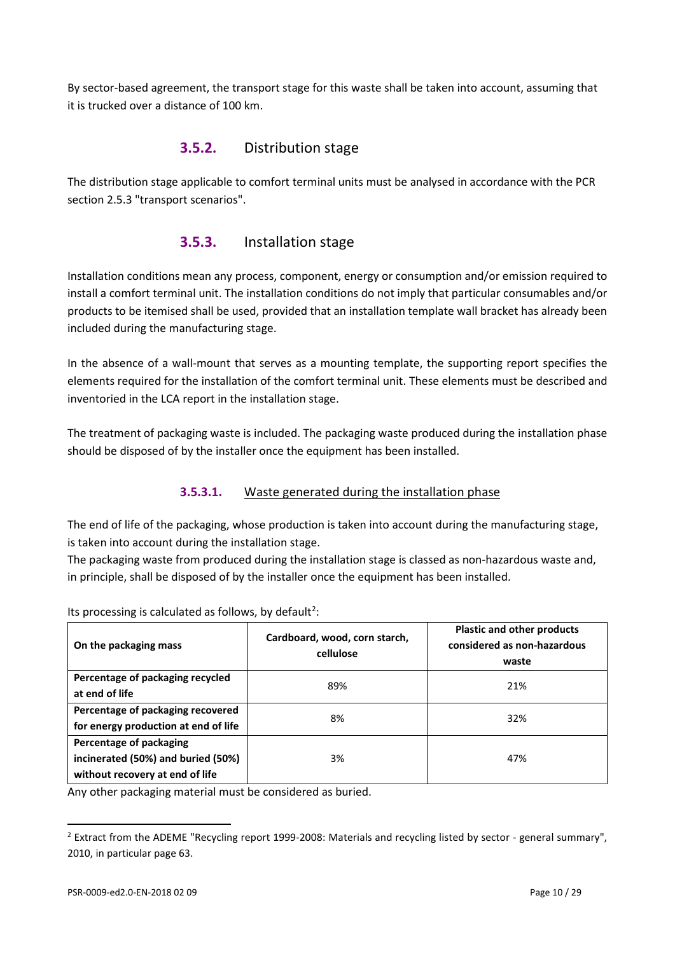By sector-based agreement, the transport stage for this waste shall be taken into account, assuming that it is trucked over a distance of 100 km.

## **3.5.2.** Distribution stage

The distribution stage applicable to comfort terminal units must be analysed in accordance with the PCR section 2.5.3 "transport scenarios".

## **3.5.3.** Installation stage

Installation conditions mean any process, component, energy or consumption and/or emission required to install a comfort terminal unit. The installation conditions do not imply that particular consumables and/or products to be itemised shall be used, provided that an installation template wall bracket has already been included during the manufacturing stage.

In the absence of a wall-mount that serves as a mounting template, the supporting report specifies the elements required for the installation of the comfort terminal unit. These elements must be described and inventoried in the LCA report in the installation stage.

The treatment of packaging waste is included. The packaging waste produced during the installation phase should be disposed of by the installer once the equipment has been installed.

## **3.5.3.1.** Waste generated during the installation phase

The end of life of the packaging, whose production is taken into account during the manufacturing stage, is taken into account during the installation stage.

The packaging waste from produced during the installation stage is classed as non-hazardous waste and, in principle, shall be disposed of by the installer once the equipment has been installed.

| On the packaging mass                                                                            | Cardboard, wood, corn starch,<br>cellulose | <b>Plastic and other products</b><br>considered as non-hazardous<br>waste |
|--------------------------------------------------------------------------------------------------|--------------------------------------------|---------------------------------------------------------------------------|
| Percentage of packaging recycled<br>at end of life                                               | 89%                                        | 21%                                                                       |
| Percentage of packaging recovered<br>for energy production at end of life                        | 8%                                         | 32%                                                                       |
| Percentage of packaging<br>incinerated (50%) and buried (50%)<br>without recovery at end of life | 3%                                         | 47%                                                                       |

Its processing is calculated as follows, by default<sup>[2](#page-9-0)</sup>:

Any other packaging material must be considered as buried.

l

<span id="page-9-0"></span> $2$  Extract from the ADEME "Recycling report 1999-2008: Materials and recycling listed by sector - general summary", 2010, in particular page 63.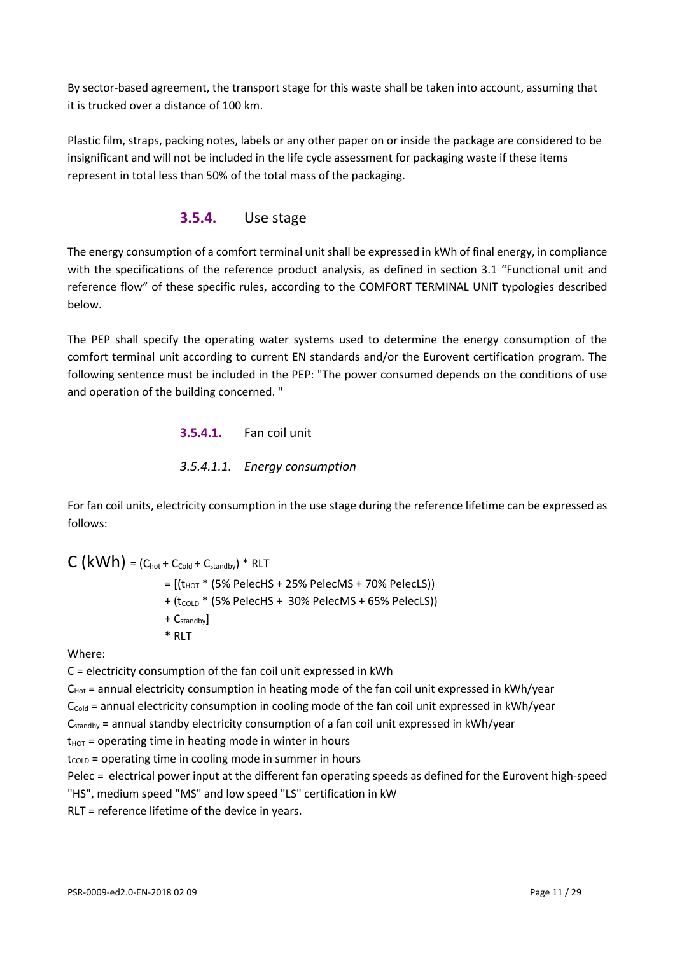By sector-based agreement, the transport stage for this waste shall be taken into account, assuming that it is trucked over a distance of 100 km.

Plastic film, straps, packing notes, labels or any other paper on or inside the package are considered to be insignificant and will not be included in the life cycle assessment for packaging waste if these items represent in total less than 50% of the total mass of the packaging.

## **3.5.4.** Use stage

The energy consumption of a comfort terminal unit shall be expressed in kWh of final energy, in compliance with the specifications of the reference product analysis, as defined in section 3.1 "Functional unit and reference flow" of these specific rules, according to the COMFORT TERMINAL UNIT typologies described below.

The PEP shall specify the operating water systems used to determine the energy consumption of the comfort terminal unit according to current EN standards and/or the Eurovent certification program. The following sentence must be included in the PEP: "The power consumed depends on the conditions of use and operation of the building concerned. "

#### **3.5.4.1.** Fan coil unit

#### *3.5.4.1.1. Energy consumption*

For fan coil units, electricity consumption in the use stage during the reference lifetime can be expressed as follows:

 $C (kWh) = (C_{hot} + C_{cold} + C_{standby}) * RLT$ 

 $=$   $[(t_{HOT} * (5\% \text{ Pelect } + 25\% \text{ Pelec } + 70\% \text{ Pelec })))$ 

- $+$  (t<sub>COLD</sub>  $*$  (5% PelecHS + 30% PelecMS + 65% PelecLS))
- + Cstandby]
- \* RLT

Where:

C = electricity consumption of the fan coil unit expressed in kWh

 $C_{Hot}$  = annual electricity consumption in heating mode of the fan coil unit expressed in kWh/year

 $C_{\text{cold}}$  = annual electricity consumption in cooling mode of the fan coil unit expressed in kWh/year

Cstandby = annual standby electricity consumption of a fan coil unit expressed in kWh/year

 $t_{HOT}$  = operating time in heating mode in winter in hours

 $t_{\text{COLD}}$  = operating time in cooling mode in summer in hours

Pelec = electrical power input at the different fan operating speeds as defined for the Eurovent high-speed

"HS", medium speed "MS" and low speed "LS" certification in kW

RLT = reference lifetime of the device in years.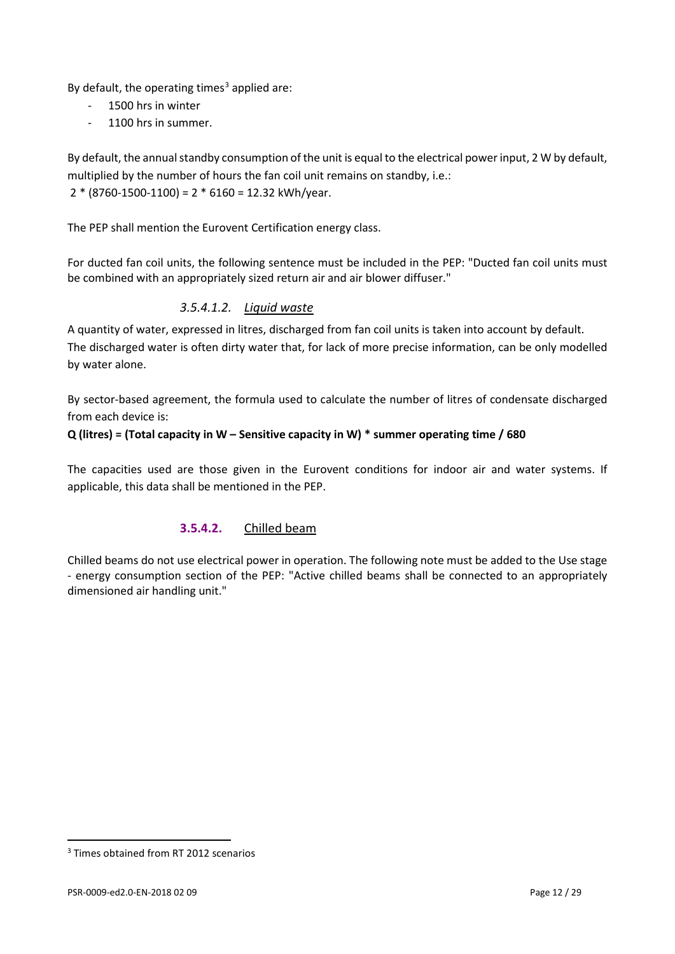By default, the operating times<sup>[3](#page-11-0)</sup> applied are:

- 1500 hrs in winter
- 1100 hrs in summer.

By default, the annual standby consumption of the unit is equal to the electrical power input, 2 W by default, multiplied by the number of hours the fan coil unit remains on standby, i.e.:  $2 * (8760 - 1500 - 1100) = 2 * 6160 = 12.32$  kWh/year.

The PEP shall mention the Eurovent Certification energy class.

For ducted fan coil units, the following sentence must be included in the PEP: "Ducted fan coil units must be combined with an appropriately sized return air and air blower diffuser."

#### *3.5.4.1.2. Liquid waste*

A quantity of water, expressed in litres, discharged from fan coil units is taken into account by default. The discharged water is often dirty water that, for lack of more precise information, can be only modelled by water alone.

By sector-based agreement, the formula used to calculate the number of litres of condensate discharged from each device is:

#### **Q (litres) = (Total capacity in W – Sensitive capacity in W) \* summer operating time / 680**

The capacities used are those given in the Eurovent conditions for indoor air and water systems. If applicable, this data shall be mentioned in the PEP.

#### **3.5.4.2.** Chilled beam

Chilled beams do not use electrical power in operation. The following note must be added to the Use stage - energy consumption section of the PEP: "Active chilled beams shall be connected to an appropriately dimensioned air handling unit."

 $\overline{a}$ 

<span id="page-11-0"></span><sup>&</sup>lt;sup>3</sup> Times obtained from RT 2012 scenarios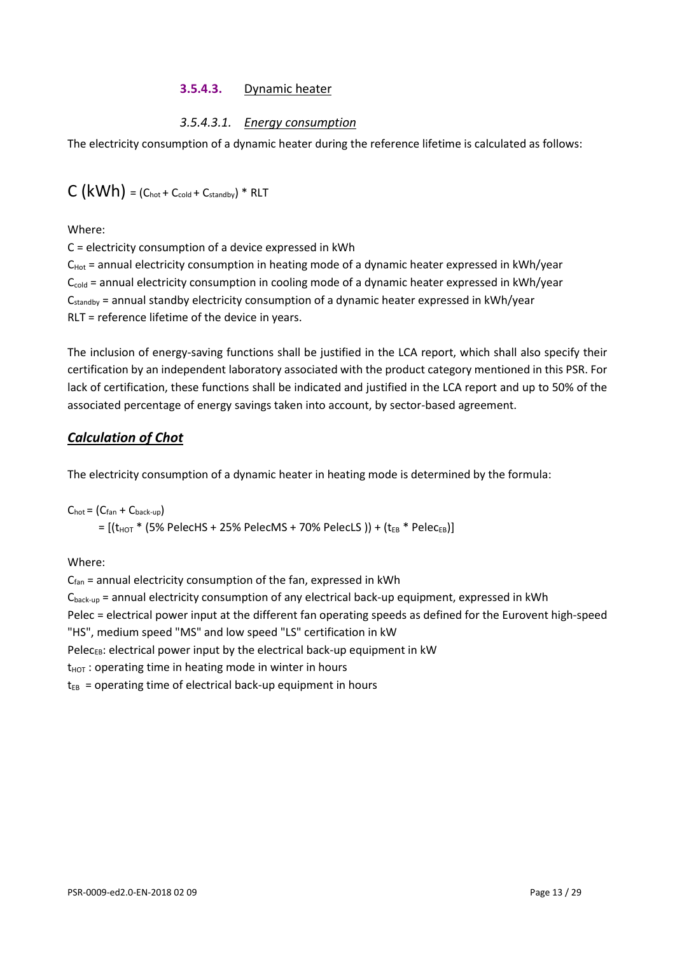#### **3.5.4.3.** Dynamic heater

## *3.5.4.3.1. Energy consumption*

The electricity consumption of a dynamic heater during the reference lifetime is calculated as follows:

$$
C(kWh) = (C_{\text{hot}} + C_{\text{cold}} + C_{\text{standby}}) * \text{RLT}
$$

Where:

C = electricity consumption of a device expressed in kWh

 $C_{Hot}$  = annual electricity consumption in heating mode of a dynamic heater expressed in kWh/year  $C_{\text{cold}}$  = annual electricity consumption in cooling mode of a dynamic heater expressed in kWh/year  $C_{\text{standby}}$  = annual standby electricity consumption of a dynamic heater expressed in kWh/year RLT = reference lifetime of the device in years.

The inclusion of energy-saving functions shall be justified in the LCA report, which shall also specify their certification by an independent laboratory associated with the product category mentioned in this PSR. For lack of certification, these functions shall be indicated and justified in the LCA report and up to 50% of the associated percentage of energy savings taken into account, by sector-based agreement.

## *Calculation of Chot*

The electricity consumption of a dynamic heater in heating mode is determined by the formula:

 $C_{hot} = (C_{fan} + C_{back-up})$  $=$   $[(t_{HOT} * (5\% PelecHS + 25\% PelecMS + 70\% PelecLS))] + (t_{EB} * Pelec_{EB})]$ 

Where:

 $C_{fan}$  = annual electricity consumption of the fan, expressed in kWh  $C_{\text{back-up}}$  = annual electricity consumption of any electrical back-up equipment, expressed in kWh Pelec = electrical power input at the different fan operating speeds as defined for the Eurovent high-speed "HS", medium speed "MS" and low speed "LS" certification in kW Pelec $_{EB}$ : electrical power input by the electrical back-up equipment in kW  $t_{HOT}$  : operating time in heating mode in winter in hours  $t_{EB}$  = operating time of electrical back-up equipment in hours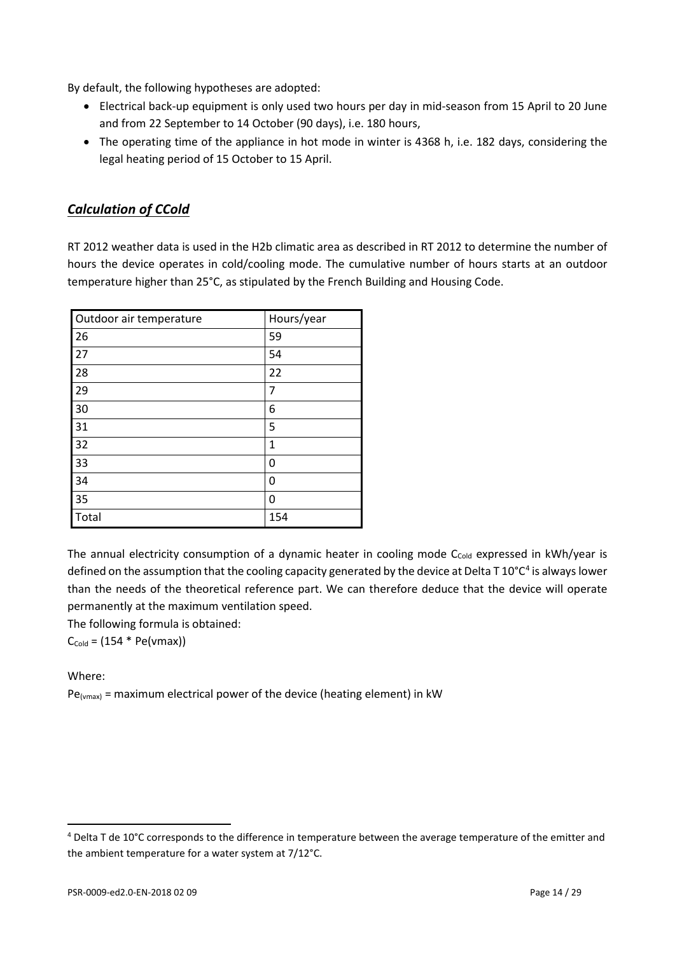By default, the following hypotheses are adopted:

- Electrical back-up equipment is only used two hours per day in mid-season from 15 April to 20 June and from 22 September to 14 October (90 days), i.e. 180 hours,
- The operating time of the appliance in hot mode in winter is 4368 h, i.e. 182 days, considering the legal heating period of 15 October to 15 April.

## *Calculation of CCold*

RT 2012 weather data is used in the H2b climatic area as described in RT 2012 to determine the number of hours the device operates in cold/cooling mode. The cumulative number of hours starts at an outdoor temperature higher than 25°C, as stipulated by the French Building and Housing Code.

| Outdoor air temperature | Hours/year |
|-------------------------|------------|
| 26                      | 59         |
| 27                      | 54         |
| 28                      | 22         |
| 29                      | 7          |
| 30                      | 6          |
| 31                      | 5          |
| 32                      | 1          |
| 33                      | 0          |
| 34                      | 0          |
| 35                      | 0          |
| Total                   | 154        |

The annual electricity consumption of a dynamic heater in cooling mode C<sub>cold</sub> expressed in kWh/year is defined on the assumption that the cooling capacity generated by the device at Delta T  $10^{\circ}C^4$  $10^{\circ}C^4$  is always lower than the needs of the theoretical reference part. We can therefore deduce that the device will operate permanently at the maximum ventilation speed.

The following formula is obtained:

 $C_{\text{cold}} = (154 * \text{Pe}(\text{vmax}))$ 

#### Where:

l

 $Pe<sub>(vmax)</sub>$  = maximum electrical power of the device (heating element) in kW

<span id="page-13-0"></span> $4$  Delta T de 10°C corresponds to the difference in temperature between the average temperature of the emitter and the ambient temperature for a water system at 7/12°C.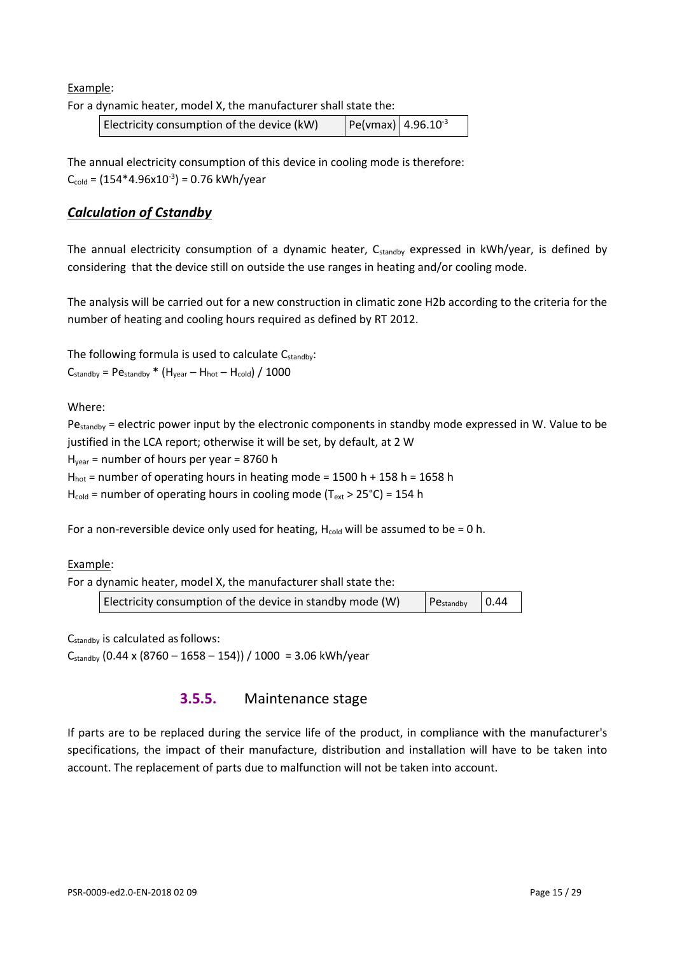Example:

For a dynamic heater, model X, the manufacturer shall state the:

| Electricity consumption of the device (kW) | $ Pe($ vmax $)  4.96.10^{-3}$ |
|--------------------------------------------|-------------------------------|
|--------------------------------------------|-------------------------------|

The annual electricity consumption of this device in cooling mode is therefore:  $C_{\text{cold}} = (154*4.96 \times 10^{-3}) = 0.76 \text{ kWh/year}$ 

#### *Calculation of Cstandby*

The annual electricity consumption of a dynamic heater,  $C_{\text{standby}}$  expressed in kWh/year, is defined by considering that the device still on outside the use ranges in heating and/or cooling mode.

The analysis will be carried out for a new construction in climatic zone H2b according to the criteria for the number of heating and cooling hours required as defined by RT 2012.

The following formula is used to calculate  $C_{\text{standby}}$ :

 $C_{\text{standby}}$  = P $\mathsf{e}_{\text{standby}}$  \* (H<sub>year</sub> – H<sub>hot</sub> – H<sub>cold</sub>) / 1000

Where:

Pe<sub>standby</sub> = electric power input by the electronic components in standby mode expressed in W. Value to be justified in the LCA report; otherwise it will be set, by default, at 2 W

 $H<sub>year</sub>$  = number of hours per year = 8760 h

 $H<sub>hot</sub>$  = number of operating hours in heating mode = 1500 h + 158 h = 1658 h

 $H_{cold}$  = number of operating hours in cooling mode (T<sub>ext</sub> > 25°C) = 154 h

For a non-reversible device only used for heating,  $H_{cold}$  will be assumed to be = 0 h.

#### Example:

For a dynamic heater, model X, the manufacturer shall state the:

| Electricity consumption of the device in standby mode (W) | $P_{\text{Cstandby}}$ 0.44 |  |
|-----------------------------------------------------------|----------------------------|--|
|-----------------------------------------------------------|----------------------------|--|

Cstandby is calculated asfollows:  $C_{\text{standby}}$  (0.44 x (8760 – 1658 – 154)) / 1000 = 3.06 kWh/year

## **3.5.5.** Maintenance stage

If parts are to be replaced during the service life of the product, in compliance with the manufacturer's specifications, the impact of their manufacture, distribution and installation will have to be taken into account. The replacement of parts due to malfunction will not be taken into account.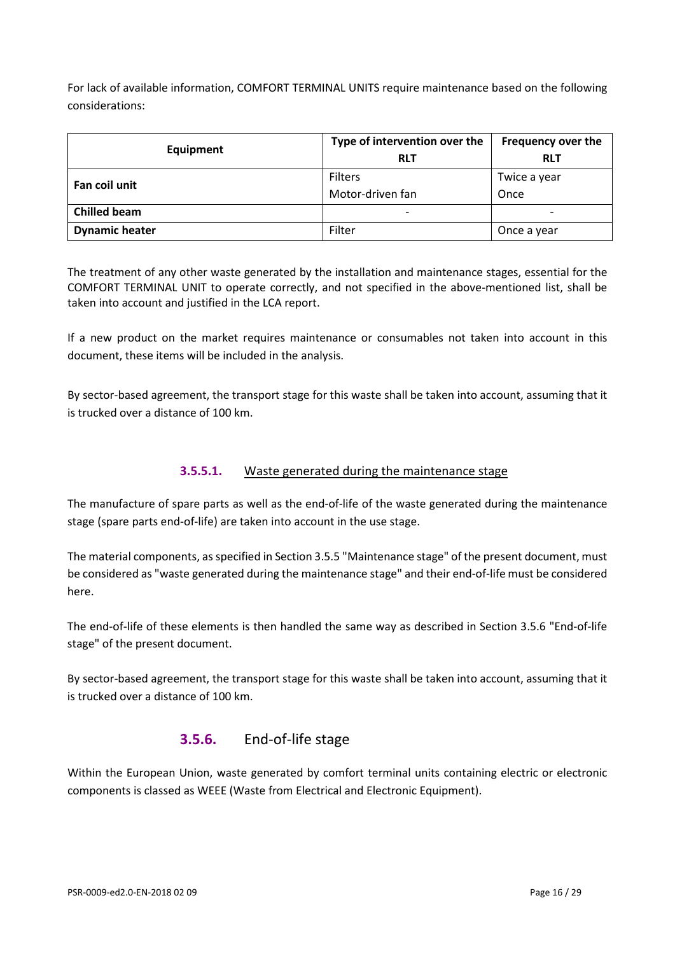For lack of available information, COMFORT TERMINAL UNITS require maintenance based on the following considerations:

| Equipment             | Type of intervention over the | Frequency over the       |
|-----------------------|-------------------------------|--------------------------|
|                       | <b>RLT</b>                    | <b>RLT</b>               |
| Fan coil unit         | Filters                       | Twice a year             |
|                       | Motor-driven fan              | Once                     |
| <b>Chilled beam</b>   | $\overline{\phantom{0}}$      | $\overline{\phantom{a}}$ |
| <b>Dynamic heater</b> | Filter                        | Once a year              |

The treatment of any other waste generated by the installation and maintenance stages, essential for the COMFORT TERMINAL UNIT to operate correctly, and not specified in the above-mentioned list, shall be taken into account and justified in the LCA report.

If a new product on the market requires maintenance or consumables not taken into account in this document, these items will be included in the analysis.

By sector-based agreement, the transport stage for this waste shall be taken into account, assuming that it is trucked over a distance of 100 km.

#### **3.5.5.1.** Waste generated during the maintenance stage

The manufacture of spare parts as well as the end-of-life of the waste generated during the maintenance stage (spare parts end-of-life) are taken into account in the use stage.

The material components, as specified in Section 3.5.5 "Maintenance stage" of the present document, must be considered as "waste generated during the maintenance stage" and their end-of-life must be considered here.

The end-of-life of these elements is then handled the same way as described in Section 3.5.6 "End-of-life stage" of the present document.

By sector-based agreement, the transport stage for this waste shall be taken into account, assuming that it is trucked over a distance of 100 km.

## **3.5.6.** End-of-life stage

Within the European Union, waste generated by comfort terminal units containing electric or electronic components is classed as WEEE (Waste from Electrical and Electronic Equipment).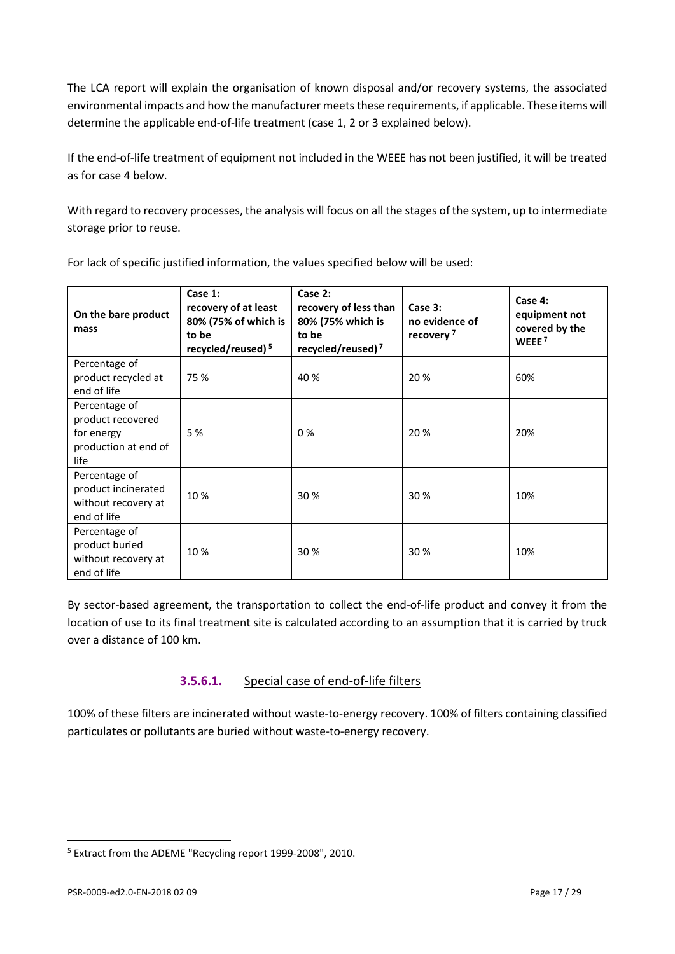The LCA report will explain the organisation of known disposal and/or recovery systems, the associated environmental impacts and how the manufacturer meets these requirements, if applicable. These items will determine the applicable end-of-life treatment (case 1, 2 or 3 explained below).

If the end-of-life treatment of equipment not included in the WEEE has not been justified, it will be treated as for case 4 below.

With regard to recovery processes, the analysis will focus on all the stages of the system, up to intermediate storage prior to reuse.

| On the bare product<br>mass                                                      | Case 1:<br>recovery of at least<br>80% (75% of which is<br>to be<br>recycled/reused) <sup>5</sup> | Case 2:<br>recovery of less than<br>80% (75% which is<br>to be<br>recycled/reused) <sup>7</sup> | Case 3:<br>no evidence of<br>recovery <sup>7</sup> | Case 4:<br>equipment not<br>covered by the<br>WEEE <sup>7</sup> |
|----------------------------------------------------------------------------------|---------------------------------------------------------------------------------------------------|-------------------------------------------------------------------------------------------------|----------------------------------------------------|-----------------------------------------------------------------|
| Percentage of<br>product recycled at<br>end of life                              | 75 %                                                                                              | 40 %                                                                                            | 20 %                                               | 60%                                                             |
| Percentage of<br>product recovered<br>for energy<br>production at end of<br>life | 5 %                                                                                               | 0%                                                                                              | 20 %                                               | 20%                                                             |
| Percentage of<br>product incinerated<br>without recovery at<br>end of life       | 10 %                                                                                              | 30 %                                                                                            | 30%                                                | 10%                                                             |
| Percentage of<br>product buried<br>without recovery at<br>end of life            | 10 %                                                                                              | 30 %                                                                                            | 30%                                                | 10%                                                             |

For lack of specific justified information, the values specified below will be used:

By sector-based agreement, the transportation to collect the end-of-life product and convey it from the location of use to its final treatment site is calculated according to an assumption that it is carried by truck over a distance of 100 km.

## **3.5.6.1.** Special case of end-of-life filters

100% of these filters are incinerated without waste-to-energy recovery. 100% of filters containing classified particulates or pollutants are buried without waste-to-energy recovery.

 $\overline{a}$ 

<span id="page-16-0"></span><sup>5</sup> Extract from the ADEME "Recycling report 1999-2008", 2010.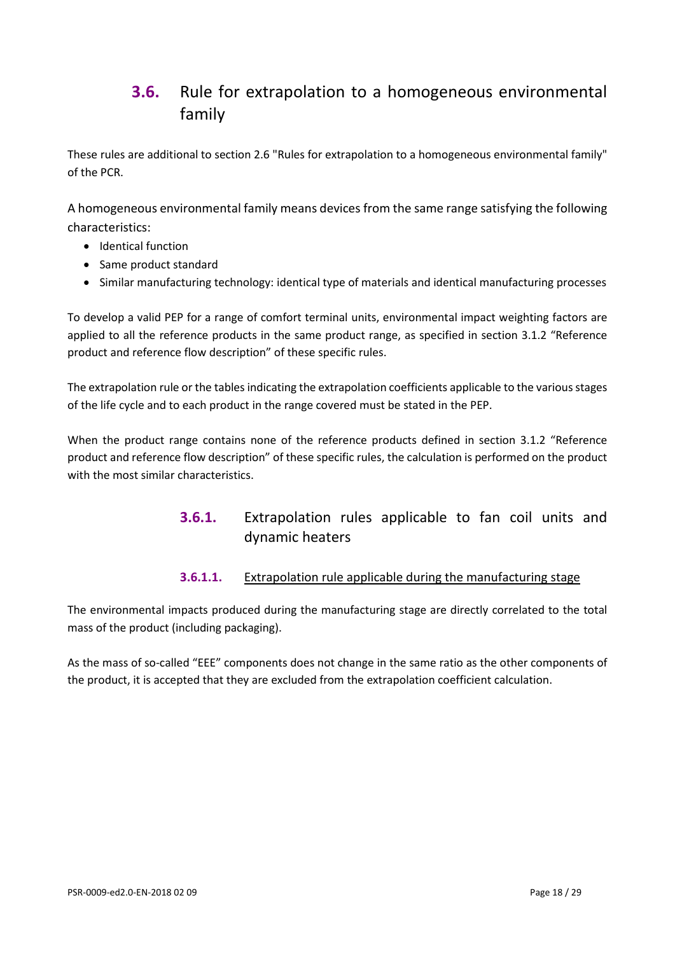# <span id="page-17-0"></span>**3.6.** Rule for extrapolation to a homogeneous environmental family

These rules are additional to section 2.6 "Rules for extrapolation to a homogeneous environmental family" of the PCR.

A homogeneous environmental family means devices from the same range satisfying the following characteristics:

- Identical function
- Same product standard
- Similar manufacturing technology: identical type of materials and identical manufacturing processes

To develop a valid PEP for a range of comfort terminal units, environmental impact weighting factors are applied to all the reference products in the same product range, as specified in section 3.1.2 "Reference product and reference flow description" of these specific rules.

The extrapolation rule or the tables indicating the extrapolation coefficients applicable to the various stages of the life cycle and to each product in the range covered must be stated in the PEP.

When the product range contains none of the reference products defined in section 3.1.2 "Reference product and reference flow description" of these specific rules, the calculation is performed on the product with the most similar characteristics.

# **3.6.1.** Extrapolation rules applicable to fan coil units and dynamic heaters

#### **3.6.1.1.** Extrapolation rule applicable during the manufacturing stage

The environmental impacts produced during the manufacturing stage are directly correlated to the total mass of the product (including packaging).

As the mass of so-called "EEE" components does not change in the same ratio as the other components of the product, it is accepted that they are excluded from the extrapolation coefficient calculation.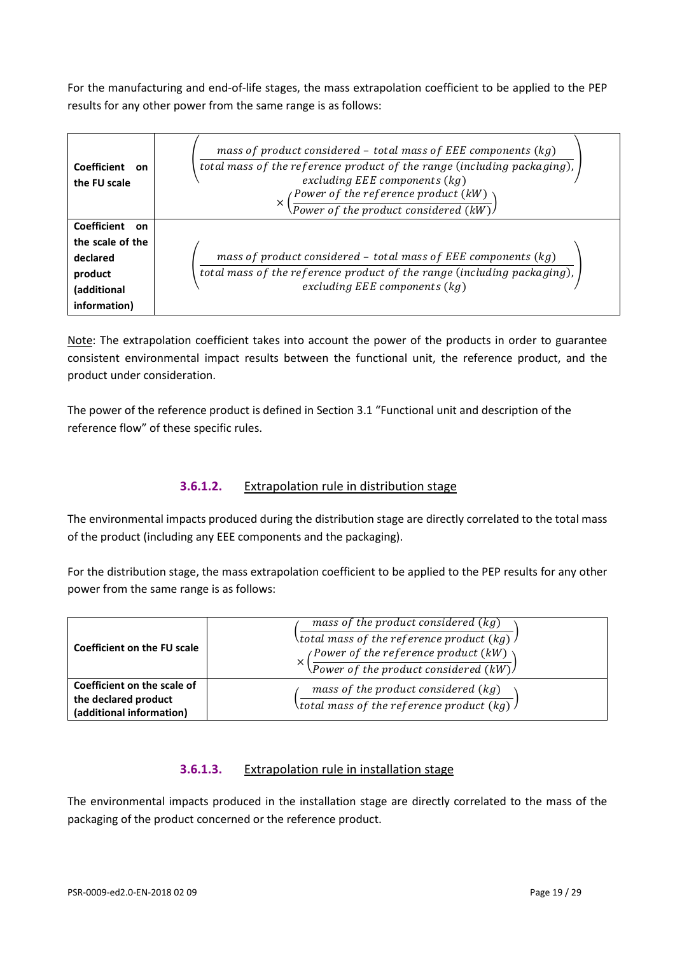For the manufacturing and end-of-life stages, the mass extrapolation coefficient to be applied to the PEP results for any other power from the same range is as follows:

| Coefficient<br><b>on</b><br>the FU scale                                                     | mass of product considered $-$ total mass of EEE components (kg)<br>total mass of the reference product of the range (including packaging),<br>excluding EEE components $(kg)$<br>$\left(\frac{Power\; of\; the\; reference\; product\; (kW)}{Power\; of\; the\; product\; considered\; (kW)}\right)$<br>$\times$ |
|----------------------------------------------------------------------------------------------|-------------------------------------------------------------------------------------------------------------------------------------------------------------------------------------------------------------------------------------------------------------------------------------------------------------------|
| Coefficient<br>on.<br>the scale of the<br>declared<br>product<br>(additional<br>information) | mass of product considered $-$ total mass of EEE components (kg)<br>total mass of the reference product of the range (including packaging),<br>excluding EEE components $(kg)$                                                                                                                                    |

Note: The extrapolation coefficient takes into account the power of the products in order to guarantee consistent environmental impact results between the functional unit, the reference product, and the product under consideration.

The power of the reference product is defined in Section 3.1 "Functional unit and description of the reference flow" of these specific rules.

## **3.6.1.2.** Extrapolation rule in distribution stage

The environmental impacts produced during the distribution stage are directly correlated to the total mass of the product (including any EEE components and the packaging).

For the distribution stage, the mass extrapolation coefficient to be applied to the PEP results for any other power from the same range is as follows:

| Coefficient on the FU scale                                                     | mass of the product considered $(kg)$<br>\total mass of the reference product (kg) $\sqrt$<br>(Power of the reference product (kW) $\setminus$<br>$\sqrt{Pover of the product considered (kW)}$ |
|---------------------------------------------------------------------------------|-------------------------------------------------------------------------------------------------------------------------------------------------------------------------------------------------|
| Coefficient on the scale of<br>the declared product<br>(additional information) | mass of the product considered $(kg)$<br>\total mass of the reference product (kg) $\sqrt{ }$                                                                                                   |

#### **3.6.1.3.** Extrapolation rule in installation stage

The environmental impacts produced in the installation stage are directly correlated to the mass of the packaging of the product concerned or the reference product.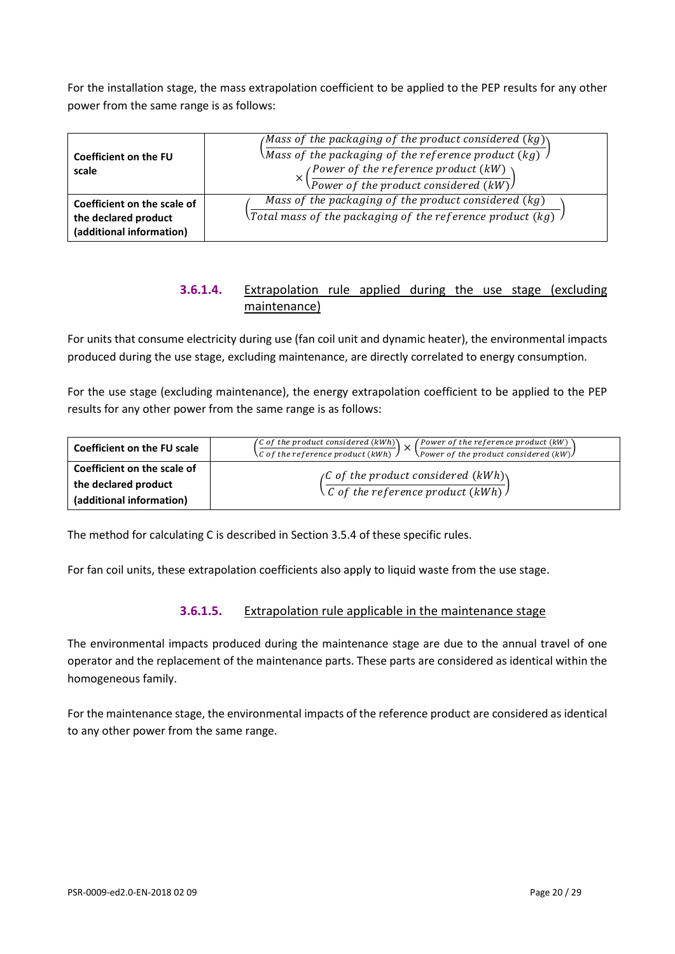For the installation stage, the mass extrapolation coefficient to be applied to the PEP results for any other power from the same range is as follows:

| Coefficient on the FU<br>scale                                                  | (Mass of the packaging of the product considered (kg))<br>$\backslash$ Mass of the packaging of the reference product (kg)<br><i>(Power of the reference product <math>(kW)</math>)</i><br><i><u><b>Nower of the product considered (kW)</b></u></i> |
|---------------------------------------------------------------------------------|------------------------------------------------------------------------------------------------------------------------------------------------------------------------------------------------------------------------------------------------------|
| Coefficient on the scale of<br>the declared product<br>(additional information) | Mass of the packaging of the product considered $(kg)$<br>$\backslash$ Total mass of the packaging of the reference product (kg) $\backslash$                                                                                                        |

#### **3.6.1.4.** Extrapolation rule applied during the use stage (excluding maintenance)

For units that consume electricity during use (fan coil unit and dynamic heater), the environmental impacts produced during the use stage, excluding maintenance, are directly correlated to energy consumption.

For the use stage (excluding maintenance), the energy extrapolation coefficient to be applied to the PEP results for any other power from the same range is as follows:

| Coefficient on the FU scale | (C of the product considered $(kWh)$ )<br>Power of the reference product (kW)<br>$\setminus$ C of the reference product (kWh) $\setminus$<br>$\chi_{\text{Power of the product considered (kW)}}$ |  |  |  |  |  |
|-----------------------------|---------------------------------------------------------------------------------------------------------------------------------------------------------------------------------------------------|--|--|--|--|--|
| Coefficient on the scale of | $\int$ of the product considered $(kWh)$                                                                                                                                                          |  |  |  |  |  |
| the declared product        | $\setminus$ C of the reference product (kWh) $\setminus$                                                                                                                                          |  |  |  |  |  |
| (additional information)    |                                                                                                                                                                                                   |  |  |  |  |  |

The method for calculating C is described in Section 3.5.4 of these specific rules.

For fan coil units, these extrapolation coefficients also apply to liquid waste from the use stage.

#### **3.6.1.5.** Extrapolation rule applicable in the maintenance stage

The environmental impacts produced during the maintenance stage are due to the annual travel of one operator and the replacement of the maintenance parts. These parts are considered as identical within the homogeneous family.

For the maintenance stage, the environmental impacts of the reference product are considered as identical to any other power from the same range.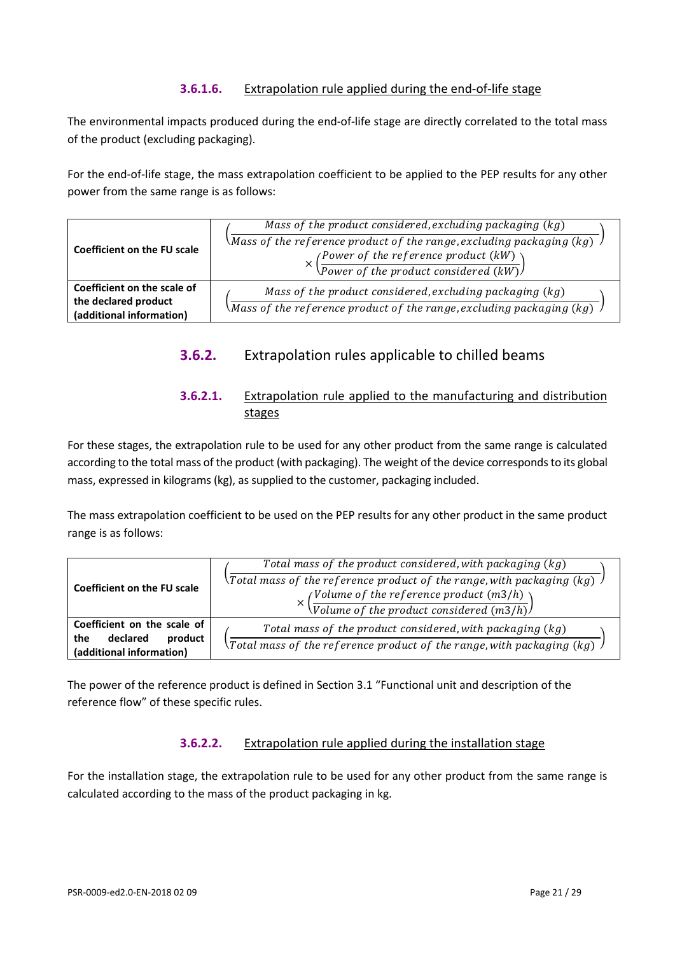#### **3.6.1.6.** Extrapolation rule applied during the end-of-life stage

The environmental impacts produced during the end-of-life stage are directly correlated to the total mass of the product (excluding packaging).

For the end-of-life stage, the mass extrapolation coefficient to be applied to the PEP results for any other power from the same range is as follows:

| Coefficient on the FU scale                                                     | Mass of the product considered, excluding packaging $(kg)$<br>$\mathcal{M}$ ass of the reference product of the range, excluding packaging $(kg)$<br>$\left(\frac{Power\ of\ the\ reference\ product\ (kW)}{Power\ of\ the\ product\ considered\ (kW)}\right)$ |  |  |  |  |
|---------------------------------------------------------------------------------|----------------------------------------------------------------------------------------------------------------------------------------------------------------------------------------------------------------------------------------------------------------|--|--|--|--|
| Coefficient on the scale of<br>the declared product<br>(additional information) | Mass of the product considered, excluding packaging $(kg)$<br>$\backslash$ Mass of the reference product of the range, excluding packaging $(kg)$                                                                                                              |  |  |  |  |

## **3.6.2.** Extrapolation rules applicable to chilled beams

## **3.6.2.1.** Extrapolation rule applied to the manufacturing and distribution stages

For these stages, the extrapolation rule to be used for any other product from the same range is calculated according to the total mass of the product (with packaging). The weight of the device corresponds to its global mass, expressed in kilograms (kg), as supplied to the customer, packaging included.

The mass extrapolation coefficient to be used on the PEP results for any other product in the same product range is as follows:

| <b>Coefficient on the FU scale</b>                                                    | Total mass of the product considered, with packaging (kg)<br>$\lambda$ Total mass of the reference product of the range, with packaging (kg)<br>(Volume of the reference product $(m3/h)$ )<br>$\sqrt{Volume of the product considered (m3/h)}$ |  |  |  |
|---------------------------------------------------------------------------------------|-------------------------------------------------------------------------------------------------------------------------------------------------------------------------------------------------------------------------------------------------|--|--|--|
| Coefficient on the scale of<br>declared<br>product<br>the<br>(additional information) | Total mass of the product considered, with packaging (kg)<br>$\forall$ Total mass of the reference product of the range, with packaging (kg)                                                                                                    |  |  |  |

The power of the reference product is defined in Section 3.1 "Functional unit and description of the reference flow" of these specific rules.

## **3.6.2.2.** Extrapolation rule applied during the installation stage

For the installation stage, the extrapolation rule to be used for any other product from the same range is calculated according to the mass of the product packaging in kg.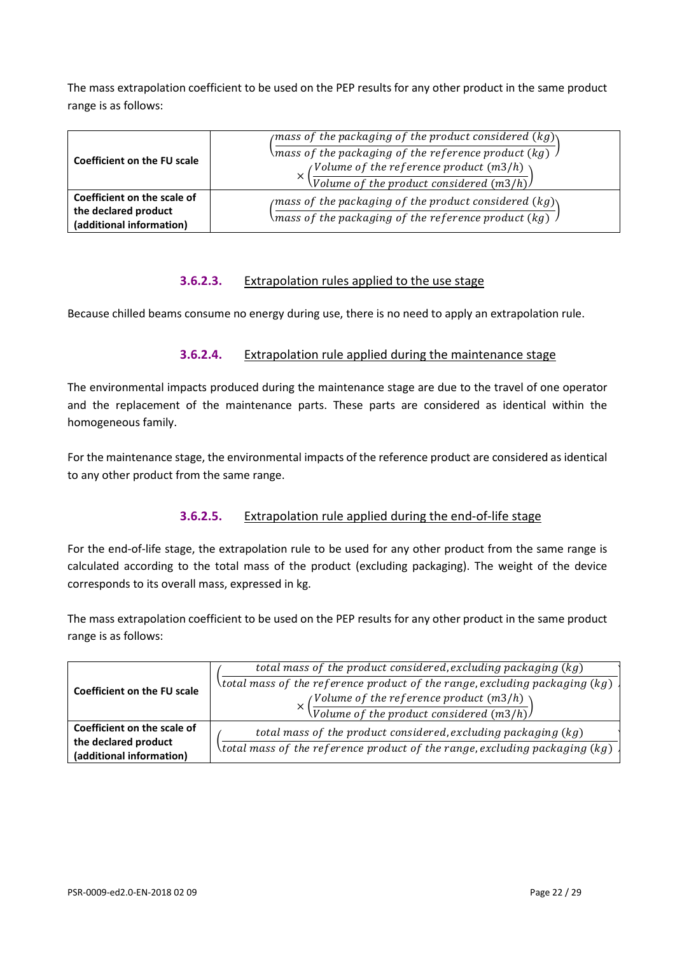The mass extrapolation coefficient to be used on the PEP results for any other product in the same product range is as follows:

| <b>Coefficient on the FU scale</b>                                              | <i>(mass of the packaging of the product considered <math>(kg)</math>)</i><br>\mass of the packaging of the reference product (kg) $\sqrt{a}$<br><i>(Volume of the reference product (m3/h)</i> $\setminus$<br>$\sqrt{Volume of the product considered (m3/h)}$ |  |  |  |  |
|---------------------------------------------------------------------------------|-----------------------------------------------------------------------------------------------------------------------------------------------------------------------------------------------------------------------------------------------------------------|--|--|--|--|
| Coefficient on the scale of<br>the declared product<br>(additional information) | $\mu$ mass of the packaging of the product considered $(kg)$<br>\mass of the packaging of the reference product (kg) $\,$ $\,$ $\,$                                                                                                                             |  |  |  |  |

#### **3.6.2.3.** Extrapolation rules applied to the use stage

Because chilled beams consume no energy during use, there is no need to apply an extrapolation rule.

#### **3.6.2.4.** Extrapolation rule applied during the maintenance stage

The environmental impacts produced during the maintenance stage are due to the travel of one operator and the replacement of the maintenance parts. These parts are considered as identical within the homogeneous family.

For the maintenance stage, the environmental impacts of the reference product are considered as identical to any other product from the same range.

#### **3.6.2.5.** Extrapolation rule applied during the end-of-life stage

For the end-of-life stage, the extrapolation rule to be used for any other product from the same range is calculated according to the total mass of the product (excluding packaging). The weight of the device corresponds to its overall mass, expressed in kg.

The mass extrapolation coefficient to be used on the PEP results for any other product in the same product range is as follows:

<span id="page-21-0"></span>

|                                    | total mass of the product considered, excluding packaging (kg)             |  |  |  |  |  |  |
|------------------------------------|----------------------------------------------------------------------------|--|--|--|--|--|--|
| <b>Coefficient on the FU scale</b> | \total mass of the reference product of the range,excluding packaging (kg) |  |  |  |  |  |  |
|                                    | (Volume of the reference product $(m3/h)$ )                                |  |  |  |  |  |  |
|                                    | $\sqrt{Volume of the product considered (m3/h)}$                           |  |  |  |  |  |  |
| Coefficient on the scale of        | total mass of the product considered, excluding packaging (kg)             |  |  |  |  |  |  |
| the declared product               | \total mass of the reference product of the range,excluding packaging (kg) |  |  |  |  |  |  |
| (additional information)           |                                                                            |  |  |  |  |  |  |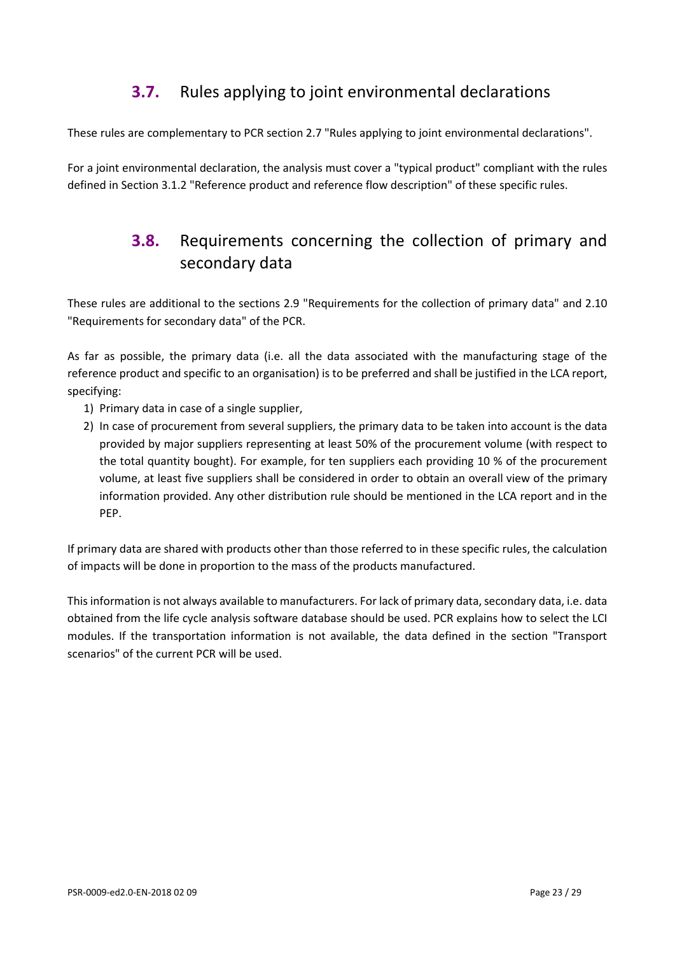# **3.7.** Rules applying to joint environmental declarations

These rules are complementary to PCR section 2.7 "Rules applying to joint environmental declarations".

<span id="page-22-0"></span>For a joint environmental declaration, the analysis must cover a "typical product" compliant with the rules defined in Section 3.1.2 "Reference product and reference flow description" of these specific rules.

# **3.8.** Requirements concerning the collection of primary and secondary data

These rules are additional to the sections 2.9 "Requirements for the collection of primary data" and 2.10 "Requirements for secondary data" of the PCR.

As far as possible, the primary data (i.e. all the data associated with the manufacturing stage of the reference product and specific to an organisation) is to be preferred and shall be justified in the LCA report, specifying:

- 1) Primary data in case of a single supplier,
- 2) In case of procurement from several suppliers, the primary data to be taken into account is the data provided by major suppliers representing at least 50% of the procurement volume (with respect to the total quantity bought). For example, for ten suppliers each providing 10 % of the procurement volume, at least five suppliers shall be considered in order to obtain an overall view of the primary information provided. Any other distribution rule should be mentioned in the LCA report and in the PEP.

If primary data are shared with products other than those referred to in these specific rules, the calculation of impacts will be done in proportion to the mass of the products manufactured.

This information is not always available to manufacturers. For lack of primary data, secondary data, i.e. data obtained from the life cycle analysis software database should be used. PCR explains how to select the LCI modules. If the transportation information is not available, the data defined in the section "Transport scenarios" of the current PCR will be used.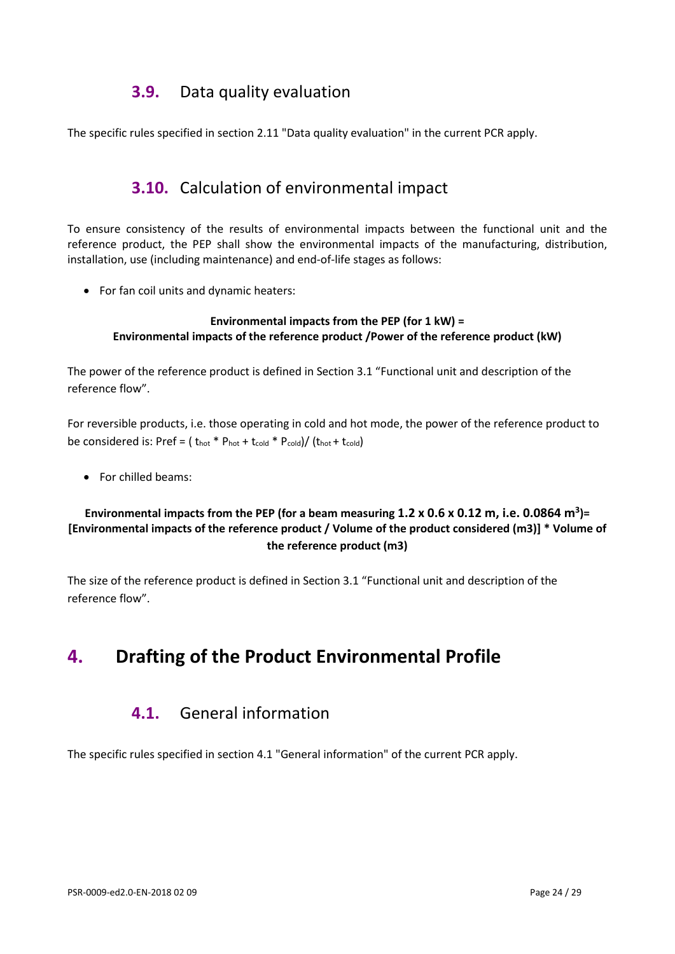# **3.9.** Data quality evaluation

<span id="page-23-1"></span><span id="page-23-0"></span>The specific rules specified in section 2.11 "Data quality evaluation" in the current PCR apply.

# **3.10.** Calculation of environmental impact

To ensure consistency of the results of environmental impacts between the functional unit and the reference product, the PEP shall show the environmental impacts of the manufacturing, distribution, installation, use (including maintenance) and end-of-life stages as follows:

• For fan coil units and dynamic heaters:

#### **Environmental impacts from the PEP (for 1 kW) = Environmental impacts of the reference product /Power of the reference product (kW)**

The power of the reference product is defined in Section 3.1 "Functional unit and description of the reference flow".

For reversible products, i.e. those operating in cold and hot mode, the power of the reference product to be considered is: Pref = ( $t_{hot} * P_{hot} + t_{cold}$ )/ $(t_{hot} + t_{cold})$ 

• For chilled beams:

#### **Environmental impacts from the PEP (for a beam measuring 1.2 x 0.6 x 0.12 m, i.e. 0.0864 m3)= [Environmental impacts of the reference product / Volume of the product considered (m3)] \* Volume of the reference product (m3)**

The size of the reference product is defined in Section 3.1 "Functional unit and description of the reference flow".

# <span id="page-23-3"></span><span id="page-23-2"></span>**4. Drafting of the Product Environmental Profile**

# **4.1.** General information

The specific rules specified in section 4.1 "General information" of the current PCR apply.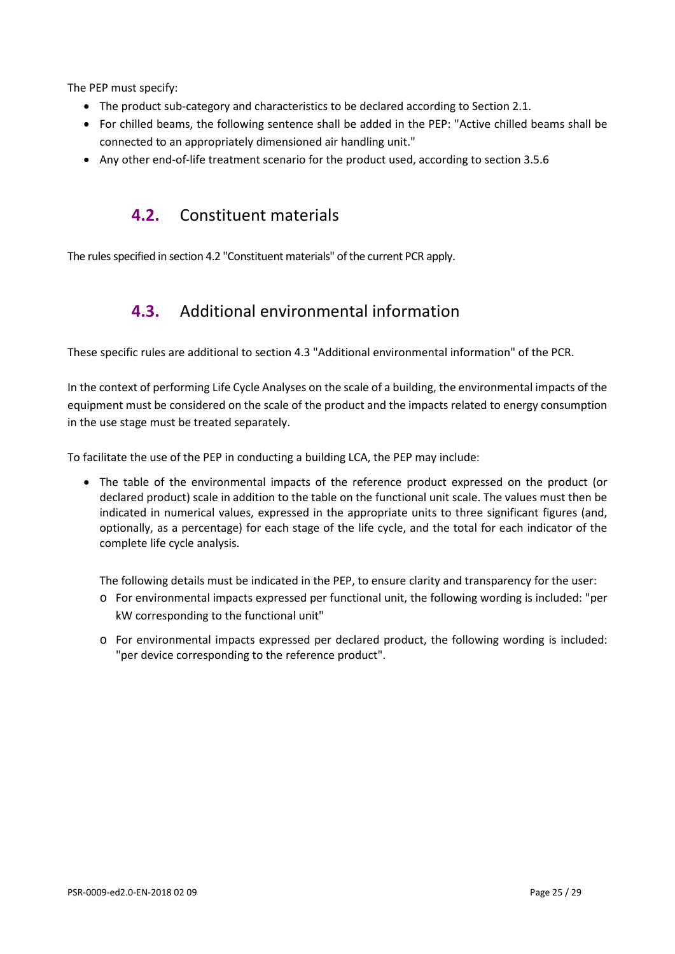The PEP must specify:

- The product sub-category and characteristics to be declared according to Section 2.1.
- For chilled beams, the following sentence shall be added in the PEP: "Active chilled beams shall be connected to an appropriately dimensioned air handling unit."
- <span id="page-24-0"></span>• Any other end-of-life treatment scenario for the product used, according to section 3.5.6

# **4.2.** Constituent materials

<span id="page-24-1"></span>The rules specified in section 4.2 "Constituent materials" of the current PCR apply.

# **4.3.** Additional environmental information

These specific rules are additional to section 4.3 "Additional environmental information" of the PCR.

In the context of performing Life Cycle Analyses on the scale of a building, the environmental impacts of the equipment must be considered on the scale of the product and the impacts related to energy consumption in the use stage must be treated separately.

To facilitate the use of the PEP in conducting a building LCA, the PEP may include:

• The table of the environmental impacts of the reference product expressed on the product (or declared product) scale in addition to the table on the functional unit scale. The values must then be indicated in numerical values, expressed in the appropriate units to three significant figures (and, optionally, as a percentage) for each stage of the life cycle, and the total for each indicator of the complete life cycle analysis.

The following details must be indicated in the PEP, to ensure clarity and transparency for the user:

- o For environmental impacts expressed per functional unit, the following wording is included: "per kW corresponding to the functional unit"
- o For environmental impacts expressed per declared product, the following wording is included: "per device corresponding to the reference product".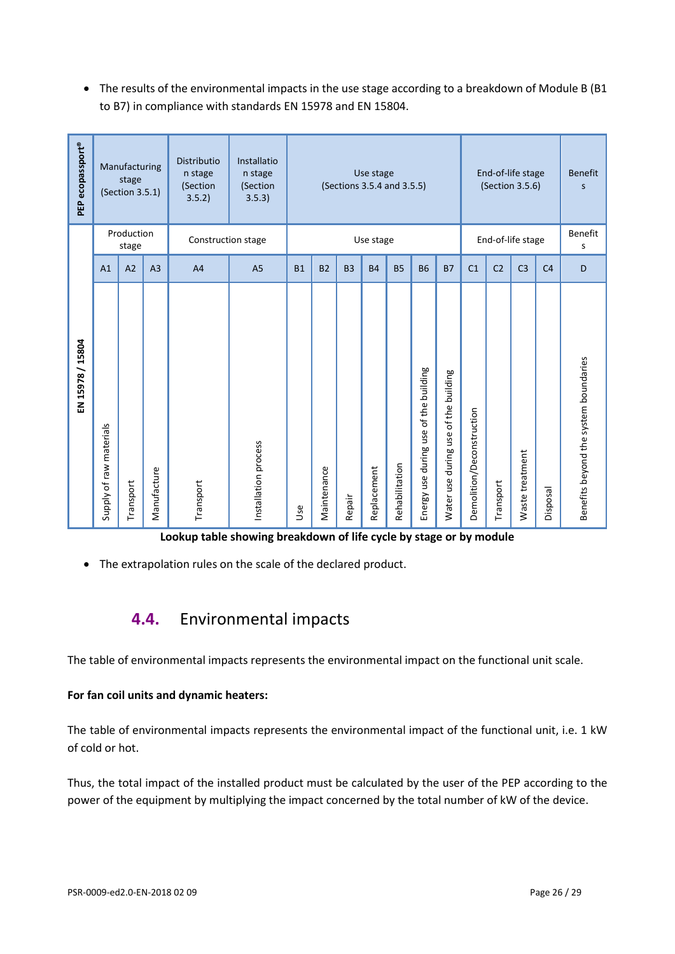• The results of the environmental impacts in the use stage according to a breakdown of Module B (B1 to B7) in compliance with standards EN 15978 and EN 15804.

| PEP ecopassport® |                         | Manufacturing<br>stage<br>(Section 3.5.1)<br>Production |                | Distributio<br>n stage<br>(Section<br>3.5.2 | Installatio<br>n stage<br>(Section<br>3.5.3) | Use stage<br>(Sections 3.5.4 and 3.5.5) |                |           |             |                   |                                                  |                                                      |                           | End-of-life stage<br>(Section 3.5.6) |                 | <b>Benefit</b><br>S<br>Benefit |                                       |
|------------------|-------------------------|---------------------------------------------------------|----------------|---------------------------------------------|----------------------------------------------|-----------------------------------------|----------------|-----------|-------------|-------------------|--------------------------------------------------|------------------------------------------------------|---------------------------|--------------------------------------|-----------------|--------------------------------|---------------------------------------|
|                  |                         | stage                                                   |                | Construction stage                          | Use stage                                    |                                         |                |           |             | End-of-life stage |                                                  |                                                      | S                         |                                      |                 |                                |                                       |
|                  | A1                      | A <sub>2</sub>                                          | A <sub>3</sub> | A <sub>4</sub>                              | A <sub>5</sub>                               | <b>B1</b>                               | B <sub>2</sub> | <b>B3</b> | <b>B4</b>   | <b>B5</b>         | <b>B6</b>                                        | <b>B7</b>                                            | C <sub>1</sub>            | C <sub>2</sub>                       | C <sub>3</sub>  | C <sub>4</sub>                 | D                                     |
| EN 15978 / 15804 | Supply of raw materials | Transport                                               | Manufacture    | Transport                                   | Installation process                         | <b>Jse</b>                              | Maintenance    | Repair    | Replacement | Rehabilitation    | of the building<br>use<br>use during<br>Energy I | building<br>of the I<br>during use<br>use<br>Water I | Demolition/Deconstruction | Transport                            | Waste treatment | Disposal                       | Benefits beyond the system boundaries |

**Lookup table showing breakdown of life cycle by stage or by module** 

<span id="page-25-0"></span>• The extrapolation rules on the scale of the declared product.

# **4.4.** Environmental impacts

The table of environmental impacts represents the environmental impact on the functional unit scale.

#### **For fan coil units and dynamic heaters:**

The table of environmental impacts represents the environmental impact of the functional unit, i.e. 1 kW of cold or hot.

Thus, the total impact of the installed product must be calculated by the user of the PEP according to the power of the equipment by multiplying the impact concerned by the total number of kW of the device.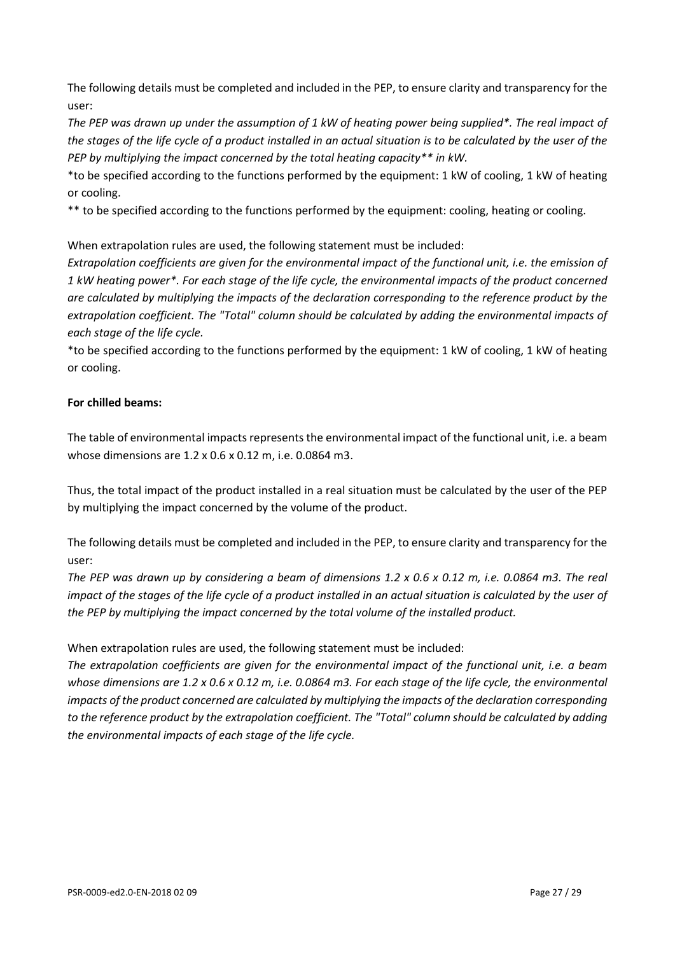The following details must be completed and included in the PEP, to ensure clarity and transparency for the user:

*The PEP was drawn up under the assumption of 1 kW of heating power being supplied\*. The real impact of*  the stages of the life cycle of a product installed in an actual situation is to be calculated by the user of the *PEP by multiplying the impact concerned by the total heating capacity\*\* in kW.*

\*to be specified according to the functions performed by the equipment: 1 kW of cooling, 1 kW of heating or cooling.

\*\* to be specified according to the functions performed by the equipment: cooling, heating or cooling.

When extrapolation rules are used, the following statement must be included:

*Extrapolation coefficients are given for the environmental impact of the functional unit, i.e. the emission of 1 kW heating power\*. For each stage of the life cycle, the environmental impacts of the product concerned are calculated by multiplying the impacts of the declaration corresponding to the reference product by the extrapolation coefficient. The "Total" column should be calculated by adding the environmental impacts of each stage of the life cycle.*

\*to be specified according to the functions performed by the equipment: 1 kW of cooling, 1 kW of heating or cooling.

#### **For chilled beams:**

The table of environmental impacts represents the environmental impact of the functional unit, i.e. a beam whose dimensions are 1.2 x 0.6 x 0.12 m, i.e. 0.0864 m3.

Thus, the total impact of the product installed in a real situation must be calculated by the user of the PEP by multiplying the impact concerned by the volume of the product.

The following details must be completed and included in the PEP, to ensure clarity and transparency for the user:

*The PEP was drawn up by considering a beam of dimensions 1.2 x 0.6 x 0.12 m, i.e. 0.0864 m3. The real impact of the stages of the life cycle of a product installed in an actual situation is calculated by the user of the PEP by multiplying the impact concerned by the total volume of the installed product.*

When extrapolation rules are used, the following statement must be included:

*The extrapolation coefficients are given for the environmental impact of the functional unit, i.e. a beam whose dimensions are 1.2 x 0.6 x 0.12 m, i.e. 0.0864 m3. For each stage of the life cycle, the environmental impacts of the product concerned are calculated by multiplying the impacts of the declaration corresponding to the reference product by the extrapolation coefficient. The "Total" column should be calculated by adding the environmental impacts of each stage of the life cycle.*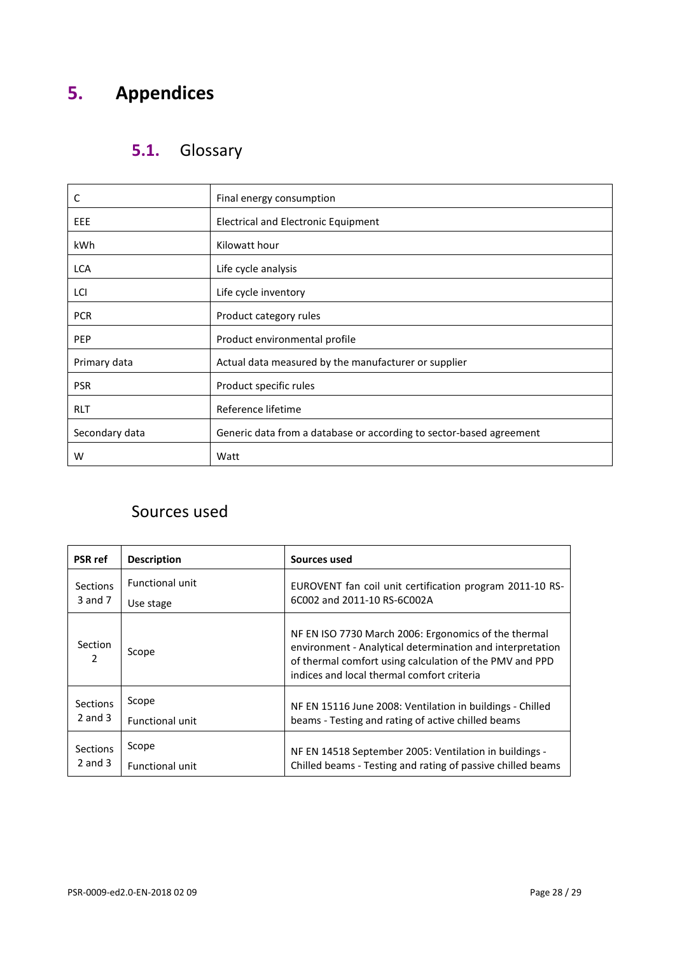# <span id="page-27-1"></span><span id="page-27-0"></span>**5. Appendices**

# **5.1.** Glossary

| C                                                                                     | Final energy consumption                             |  |  |  |  |  |  |
|---------------------------------------------------------------------------------------|------------------------------------------------------|--|--|--|--|--|--|
| EEE                                                                                   | Electrical and Electronic Equipment                  |  |  |  |  |  |  |
| kWh                                                                                   | Kilowatt hour                                        |  |  |  |  |  |  |
| <b>LCA</b>                                                                            | Life cycle analysis                                  |  |  |  |  |  |  |
| LCI                                                                                   | Life cycle inventory                                 |  |  |  |  |  |  |
| <b>PCR</b>                                                                            | Product category rules                               |  |  |  |  |  |  |
| <b>PEP</b>                                                                            | Product environmental profile                        |  |  |  |  |  |  |
| Primary data                                                                          | Actual data measured by the manufacturer or supplier |  |  |  |  |  |  |
| <b>PSR</b>                                                                            | Product specific rules                               |  |  |  |  |  |  |
| <b>RLT</b>                                                                            | Reference lifetime                                   |  |  |  |  |  |  |
| Generic data from a database or according to sector-based agreement<br>Secondary data |                                                      |  |  |  |  |  |  |
| w                                                                                     | Watt                                                 |  |  |  |  |  |  |

# <span id="page-27-2"></span>Sources used

| <b>PSR</b> ref  | <b>Description</b>     | Sources used                                                                                                                                                                                                               |  |  |  |  |  |
|-----------------|------------------------|----------------------------------------------------------------------------------------------------------------------------------------------------------------------------------------------------------------------------|--|--|--|--|--|
| <b>Sections</b> | <b>Functional unit</b> | EUROVENT fan coil unit certification program 2011-10 RS-                                                                                                                                                                   |  |  |  |  |  |
| 3 and 7         | Use stage              | 6C002 and 2011-10 RS-6C002A                                                                                                                                                                                                |  |  |  |  |  |
| Section<br>2    | Scope                  | NF EN ISO 7730 March 2006: Ergonomics of the thermal<br>environment - Analytical determination and interpretation<br>of thermal comfort using calculation of the PMV and PPD<br>indices and local thermal comfort criteria |  |  |  |  |  |
| <b>Sections</b> | Scope                  | NF EN 15116 June 2008: Ventilation in buildings - Chilled                                                                                                                                                                  |  |  |  |  |  |
| $2$ and $3$     | <b>Functional unit</b> | beams - Testing and rating of active chilled beams                                                                                                                                                                         |  |  |  |  |  |
| <b>Sections</b> | Scope                  | NF EN 14518 September 2005: Ventilation in buildings -                                                                                                                                                                     |  |  |  |  |  |
| $2$ and $3$     | <b>Functional unit</b> | Chilled beams - Testing and rating of passive chilled beams                                                                                                                                                                |  |  |  |  |  |